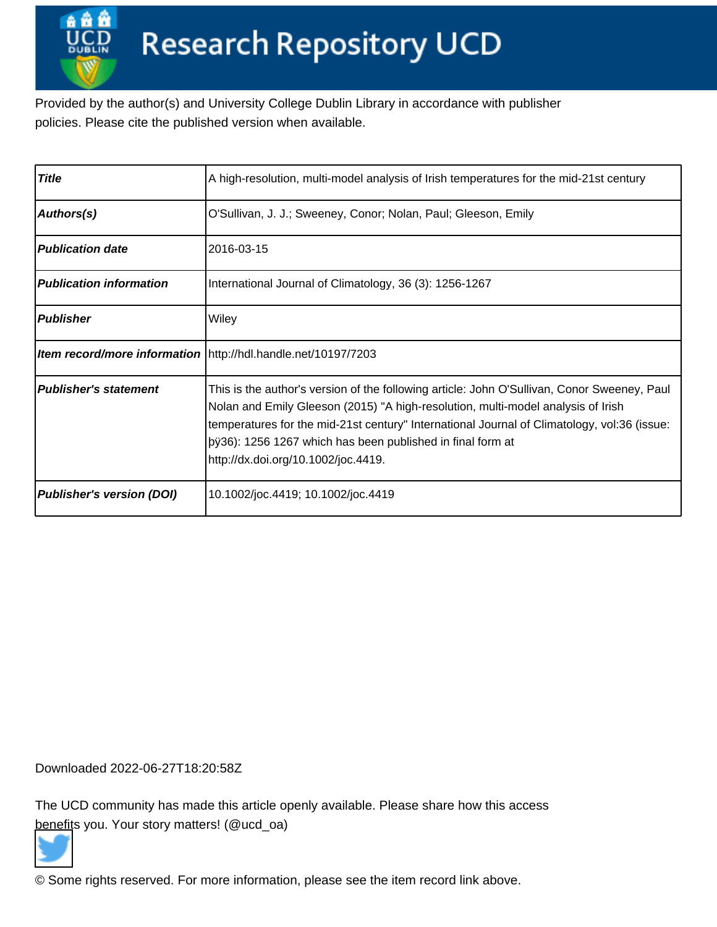Provided by the author(s) and University College Dublin Library in accordance with publisher policies. Please cite the published version when available.

| <b>Title</b>                     | A high-resolution, multi-model analysis of Irish temperatures for the mid-21st century                                                                                                                                                                                                                                                                                                |  |  |  |  |
|----------------------------------|---------------------------------------------------------------------------------------------------------------------------------------------------------------------------------------------------------------------------------------------------------------------------------------------------------------------------------------------------------------------------------------|--|--|--|--|
| Authors(s)                       | O'Sullivan, J. J.; Sweeney, Conor; Nolan, Paul; Gleeson, Emily                                                                                                                                                                                                                                                                                                                        |  |  |  |  |
| <b>Publication date</b>          | 2016-03-15                                                                                                                                                                                                                                                                                                                                                                            |  |  |  |  |
| <b>Publication information</b>   | International Journal of Climatology, 36 (3): 1256-1267                                                                                                                                                                                                                                                                                                                               |  |  |  |  |
| <b>Publisher</b>                 | Wiley                                                                                                                                                                                                                                                                                                                                                                                 |  |  |  |  |
|                                  | Item record/more information   http://hdl.handle.net/10197/7203                                                                                                                                                                                                                                                                                                                       |  |  |  |  |
| <b>Publisher's statement</b>     | This is the author's version of the following article: John O'Sullivan, Conor Sweeney, Paul<br>Nolan and Emily Gleeson (2015) "A high-resolution, multi-model analysis of Irish<br>temperatures for the mid-21st century" International Journal of Climatology, vol:36 (issue:<br> þÿ36): 1256 1267 which has been published in final form  at<br>http://dx.doi.org/10.1002/joc.4419. |  |  |  |  |
| <b>Publisher's version (DOI)</b> | 10.1002/joc.4419; 10.1002/joc.4419                                                                                                                                                                                                                                                                                                                                                    |  |  |  |  |

Downloaded 2022-06-27T18:20:58Z

The UCD community has made this article openly available. Please share how this access [benefit](https://twitter.com/intent/tweet?via=ucd_oa&text=DOI%3A10.1002%2Fjoc.4419&url=http%3A%2F%2Fhdl.handle.net%2F10197%2F7203)s you. Your story matters! (@ucd\_oa)



© Some rights reserved. For more information, please see the item record link above.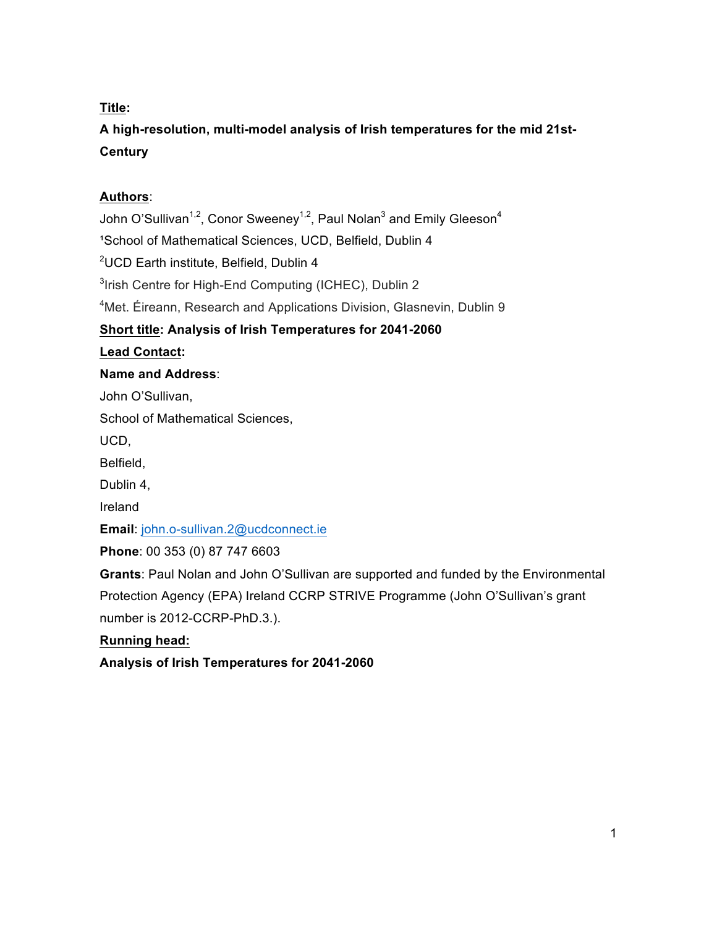# **Title:**

**A high-resolution, multi-model analysis of Irish temperatures for the mid 21st-Century**

# **Authors**:

John O'Sullivan<sup>1,2</sup>, Conor Sweeney<sup>1,2</sup>, Paul Nolan<sup>3</sup> and Emily Gleeson<sup>4</sup> <sup>1</sup>School of Mathematical Sciences, UCD, Belfield, Dublin 4 2 UCD Earth institute, Belfield, Dublin 4 <sup>3</sup>Irish Centre for High-End Computing (ICHEC), Dublin 2 4 Met. Éireann, Research and Applications Division, Glasnevin, Dublin 9 **Short title: Analysis of Irish Temperatures for 2041-2060 Lead Contact: Name and Address**: John O'Sullivan, School of Mathematical Sciences, UCD, Belfield, Dublin 4, Ireland **Email**: john.o-sullivan.2@ucdconnect.ie **Phone**: 00 353 (0) 87 747 6603 **Grants**: Paul Nolan and John O'Sullivan are supported and funded by the Environmental Protection Agency (EPA) Ireland CCRP STRIVE Programme (John O'Sullivan's grant number is 2012-CCRP-PhD.3.). **Running head:**

**Analysis of Irish Temperatures for 2041-2060**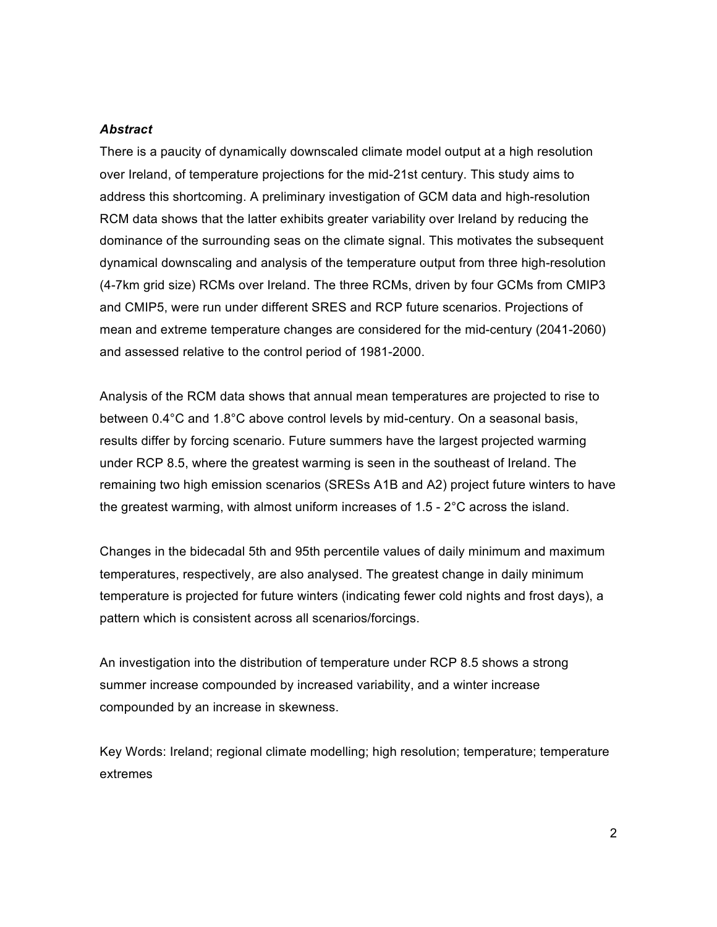#### *Abstract*

There is a paucity of dynamically downscaled climate model output at a high resolution over Ireland, of temperature projections for the mid-21st century. This study aims to address this shortcoming. A preliminary investigation of GCM data and high-resolution RCM data shows that the latter exhibits greater variability over Ireland by reducing the dominance of the surrounding seas on the climate signal. This motivates the subsequent dynamical downscaling and analysis of the temperature output from three high-resolution (4-7km grid size) RCMs over Ireland. The three RCMs, driven by four GCMs from CMIP3 and CMIP5, were run under different SRES and RCP future scenarios. Projections of mean and extreme temperature changes are considered for the mid-century (2041-2060) and assessed relative to the control period of 1981-2000.

Analysis of the RCM data shows that annual mean temperatures are projected to rise to between 0.4°C and 1.8°C above control levels by mid-century. On a seasonal basis, results differ by forcing scenario. Future summers have the largest projected warming under RCP 8.5, where the greatest warming is seen in the southeast of Ireland. The remaining two high emission scenarios (SRESs A1B and A2) project future winters to have the greatest warming, with almost uniform increases of 1.5 - 2°C across the island.

Changes in the bidecadal 5th and 95th percentile values of daily minimum and maximum temperatures, respectively, are also analysed. The greatest change in daily minimum temperature is projected for future winters (indicating fewer cold nights and frost days), a pattern which is consistent across all scenarios/forcings.

An investigation into the distribution of temperature under RCP 8.5 shows a strong summer increase compounded by increased variability, and a winter increase compounded by an increase in skewness.

Key Words: Ireland; regional climate modelling; high resolution; temperature; temperature extremes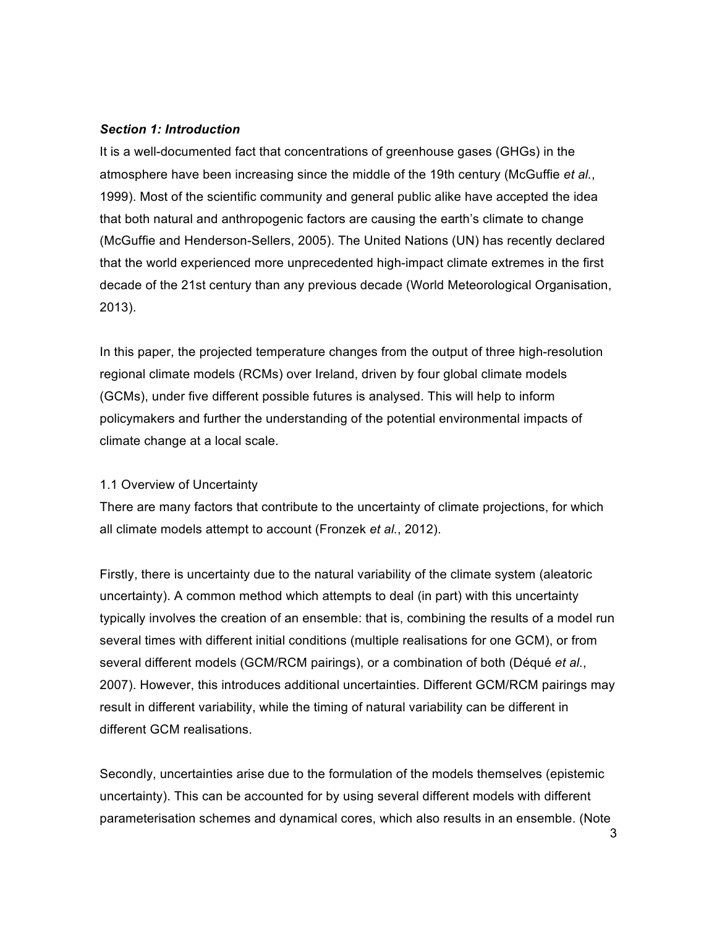#### *Section 1: Introduction*

It is a well-documented fact that concentrations of greenhouse gases (GHGs) in the atmosphere have been increasing since the middle of the 19th century (McGuffie *et al.*, 1999). Most of the scientific community and general public alike have accepted the idea that both natural and anthropogenic factors are causing the earth's climate to change (McGuffie and Henderson-Sellers, 2005). The United Nations (UN) has recently declared that the world experienced more unprecedented high-impact climate extremes in the first decade of the 21st century than any previous decade (World Meteorological Organisation, 2013).

In this paper, the projected temperature changes from the output of three high-resolution regional climate models (RCMs) over Ireland, driven by four global climate models (GCMs), under five different possible futures is analysed. This will help to inform policymakers and further the understanding of the potential environmental impacts of climate change at a local scale.

## 1.1 Overview of Uncertainty

There are many factors that contribute to the uncertainty of climate projections, for which all climate models attempt to account (Fronzek *et al.*, 2012).

Firstly, there is uncertainty due to the natural variability of the climate system (aleatoric uncertainty). A common method which attempts to deal (in part) with this uncertainty typically involves the creation of an ensemble: that is, combining the results of a model run several times with different initial conditions (multiple realisations for one GCM), or from several different models (GCM/RCM pairings), or a combination of both (Déqué *et al.*, 2007). However, this introduces additional uncertainties. Different GCM/RCM pairings may result in different variability, while the timing of natural variability can be different in different GCM realisations.

Secondly, uncertainties arise due to the formulation of the models themselves (epistemic uncertainty). This can be accounted for by using several different models with different parameterisation schemes and dynamical cores, which also results in an ensemble. (Note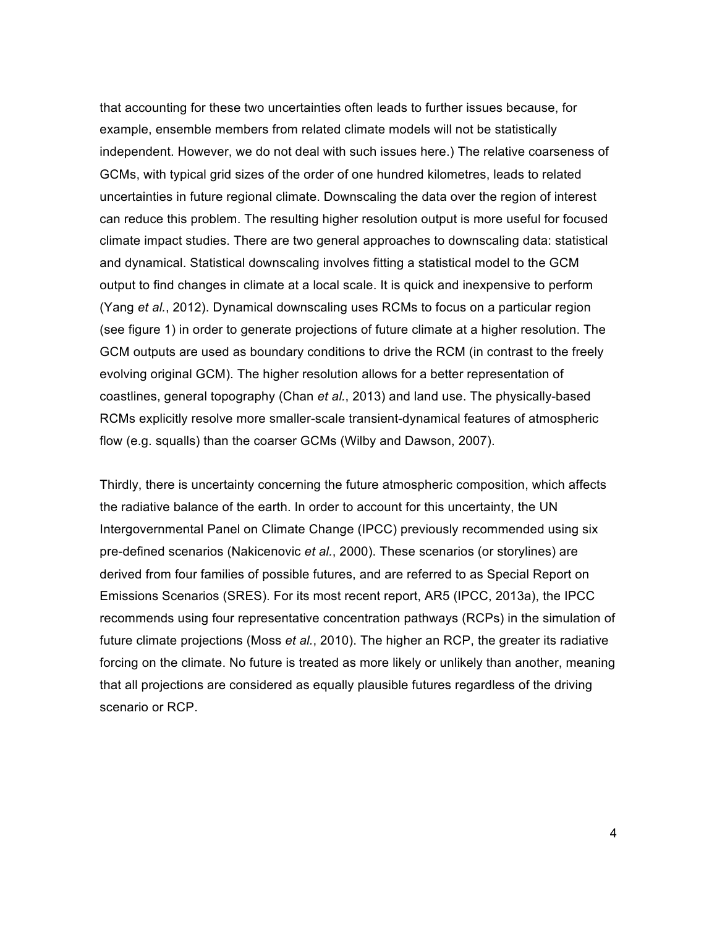that accounting for these two uncertainties often leads to further issues because, for example, ensemble members from related climate models will not be statistically independent. However, we do not deal with such issues here.) The relative coarseness of GCMs, with typical grid sizes of the order of one hundred kilometres, leads to related uncertainties in future regional climate. Downscaling the data over the region of interest can reduce this problem. The resulting higher resolution output is more useful for focused climate impact studies. There are two general approaches to downscaling data: statistical and dynamical. Statistical downscaling involves fitting a statistical model to the GCM output to find changes in climate at a local scale. It is quick and inexpensive to perform (Yang *et al.*, 2012). Dynamical downscaling uses RCMs to focus on a particular region (see figure 1) in order to generate projections of future climate at a higher resolution. The GCM outputs are used as boundary conditions to drive the RCM (in contrast to the freely evolving original GCM). The higher resolution allows for a better representation of coastlines, general topography (Chan *et al.*, 2013) and land use. The physically-based RCMs explicitly resolve more smaller-scale transient-dynamical features of atmospheric flow (e.g. squalls) than the coarser GCMs (Wilby and Dawson, 2007).

Thirdly, there is uncertainty concerning the future atmospheric composition, which affects the radiative balance of the earth. In order to account for this uncertainty, the UN Intergovernmental Panel on Climate Change (IPCC) previously recommended using six pre-defined scenarios (Nakicenovic *et al.*, 2000). These scenarios (or storylines) are derived from four families of possible futures, and are referred to as Special Report on Emissions Scenarios (SRES). For its most recent report, AR5 (IPCC, 2013a), the IPCC recommends using four representative concentration pathways (RCPs) in the simulation of future climate projections (Moss *et al.*, 2010). The higher an RCP, the greater its radiative forcing on the climate. No future is treated as more likely or unlikely than another, meaning that all projections are considered as equally plausible futures regardless of the driving scenario or RCP.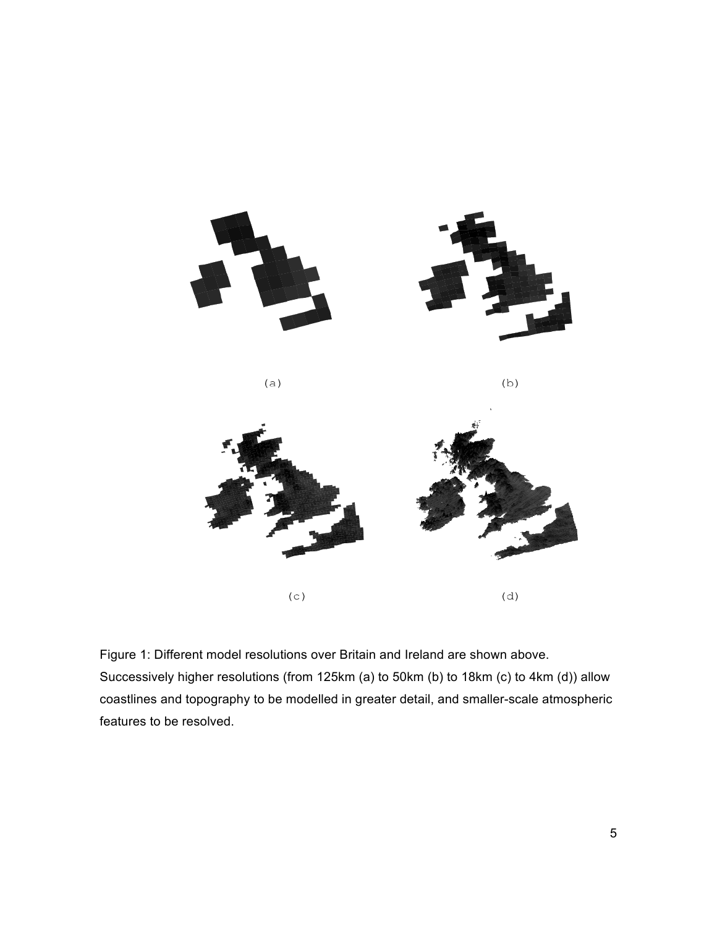

Figure 1: Different model resolutions over Britain and Ireland are shown above. Successively higher resolutions (from 125km (a) to 50km (b) to 18km (c) to 4km (d)) allow coastlines and topography to be modelled in greater detail, and smaller-scale atmospheric features to be resolved.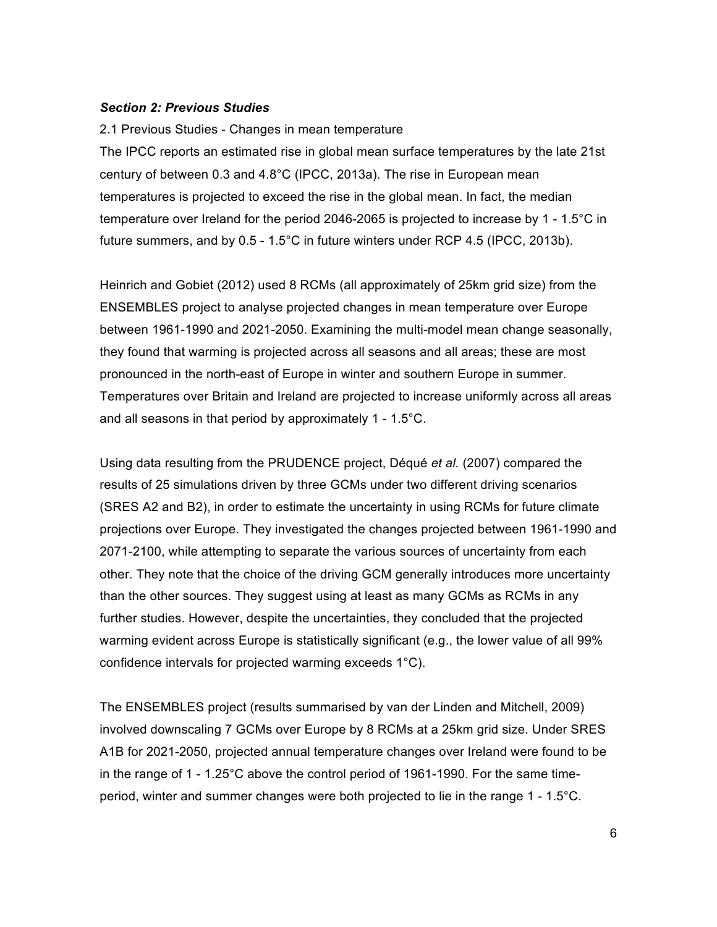#### *Section 2: Previous Studies*

2.1 Previous Studies - Changes in mean temperature The IPCC reports an estimated rise in global mean surface temperatures by the late 21st century of between 0.3 and 4.8°C (IPCC, 2013a). The rise in European mean temperatures is projected to exceed the rise in the global mean. In fact, the median temperature over Ireland for the period 2046-2065 is projected to increase by 1 - 1.5°C in future summers, and by 0.5 - 1.5°C in future winters under RCP 4.5 (IPCC, 2013b).

Heinrich and Gobiet (2012) used 8 RCMs (all approximately of 25km grid size) from the ENSEMBLES project to analyse projected changes in mean temperature over Europe between 1961-1990 and 2021-2050. Examining the multi-model mean change seasonally, they found that warming is projected across all seasons and all areas; these are most pronounced in the north-east of Europe in winter and southern Europe in summer. Temperatures over Britain and Ireland are projected to increase uniformly across all areas and all seasons in that period by approximately 1 - 1.5°C.

Using data resulting from the PRUDENCE project, Déqué *et al.* (2007) compared the results of 25 simulations driven by three GCMs under two different driving scenarios (SRES A2 and B2), in order to estimate the uncertainty in using RCMs for future climate projections over Europe. They investigated the changes projected between 1961-1990 and 2071-2100, while attempting to separate the various sources of uncertainty from each other. They note that the choice of the driving GCM generally introduces more uncertainty than the other sources. They suggest using at least as many GCMs as RCMs in any further studies. However, despite the uncertainties, they concluded that the projected warming evident across Europe is statistically significant (e.g., the lower value of all 99% confidence intervals for projected warming exceeds 1°C).

The ENSEMBLES project (results summarised by van der Linden and Mitchell, 2009) involved downscaling 7 GCMs over Europe by 8 RCMs at a 25km grid size. Under SRES A1B for 2021-2050, projected annual temperature changes over Ireland were found to be in the range of 1 - 1.25°C above the control period of 1961-1990. For the same timeperiod, winter and summer changes were both projected to lie in the range 1 - 1.5°C.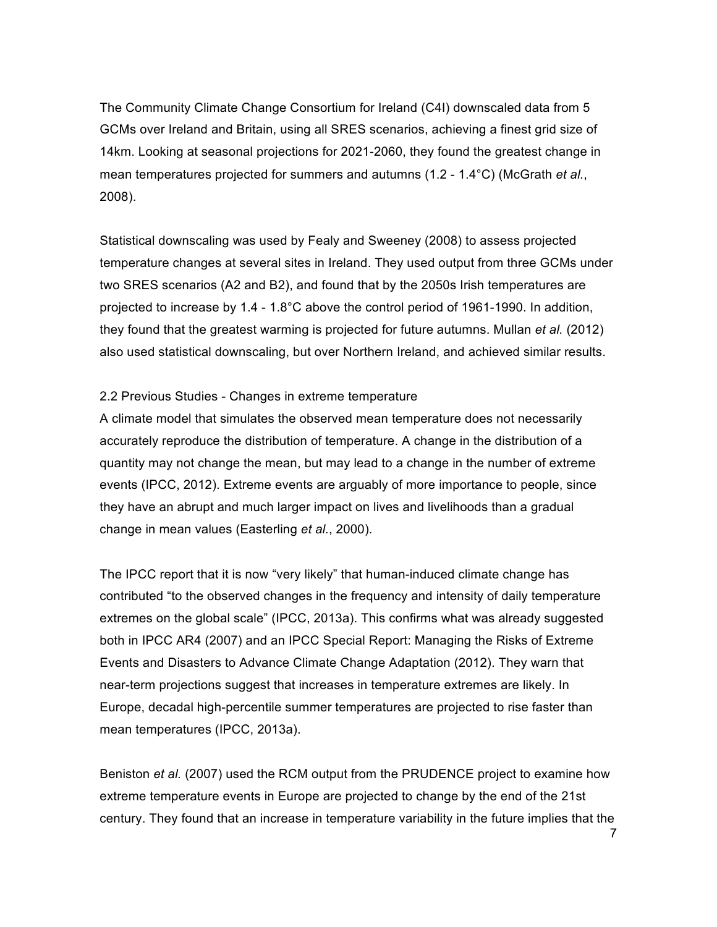The Community Climate Change Consortium for Ireland (C4I) downscaled data from 5 GCMs over Ireland and Britain, using all SRES scenarios, achieving a finest grid size of 14km. Looking at seasonal projections for 2021-2060, they found the greatest change in mean temperatures projected for summers and autumns (1.2 - 1.4°C) (McGrath *et al.*, 2008).

Statistical downscaling was used by Fealy and Sweeney (2008) to assess projected temperature changes at several sites in Ireland. They used output from three GCMs under two SRES scenarios (A2 and B2), and found that by the 2050s Irish temperatures are projected to increase by 1.4 - 1.8°C above the control period of 1961-1990. In addition, they found that the greatest warming is projected for future autumns. Mullan *et al.* (2012) also used statistical downscaling, but over Northern Ireland, and achieved similar results.

#### 2.2 Previous Studies - Changes in extreme temperature

A climate model that simulates the observed mean temperature does not necessarily accurately reproduce the distribution of temperature. A change in the distribution of a quantity may not change the mean, but may lead to a change in the number of extreme events (IPCC, 2012). Extreme events are arguably of more importance to people, since they have an abrupt and much larger impact on lives and livelihoods than a gradual change in mean values (Easterling *et al.*, 2000).

The IPCC report that it is now "very likely" that human-induced climate change has contributed "to the observed changes in the frequency and intensity of daily temperature extremes on the global scale" (IPCC, 2013a). This confirms what was already suggested both in IPCC AR4 (2007) and an IPCC Special Report: Managing the Risks of Extreme Events and Disasters to Advance Climate Change Adaptation (2012). They warn that near-term projections suggest that increases in temperature extremes are likely. In Europe, decadal high-percentile summer temperatures are projected to rise faster than mean temperatures (IPCC, 2013a).

Beniston *et al.* (2007) used the RCM output from the PRUDENCE project to examine how extreme temperature events in Europe are projected to change by the end of the 21st century. They found that an increase in temperature variability in the future implies that the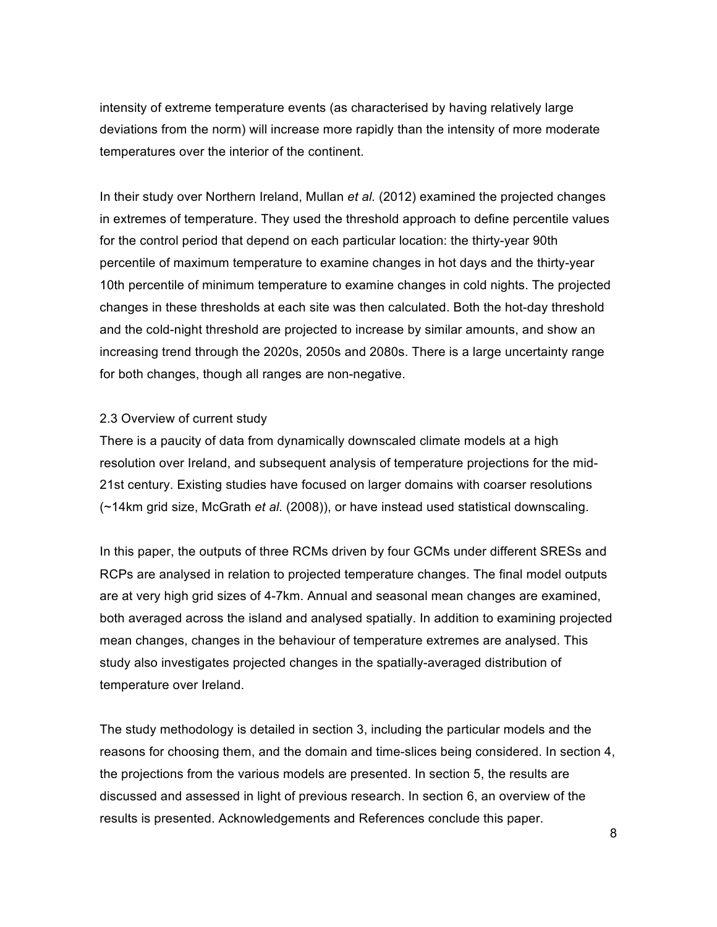intensity of extreme temperature events (as characterised by having relatively large deviations from the norm) will increase more rapidly than the intensity of more moderate temperatures over the interior of the continent.

In their study over Northern Ireland, Mullan *et al.* (2012) examined the projected changes in extremes of temperature. They used the threshold approach to define percentile values for the control period that depend on each particular location: the thirty-year 90th percentile of maximum temperature to examine changes in hot days and the thirty-year 10th percentile of minimum temperature to examine changes in cold nights. The projected changes in these thresholds at each site was then calculated. Both the hot-day threshold and the cold-night threshold are projected to increase by similar amounts, and show an increasing trend through the 2020s, 2050s and 2080s. There is a large uncertainty range for both changes, though all ranges are non-negative.

## 2.3 Overview of current study

There is a paucity of data from dynamically downscaled climate models at a high resolution over Ireland, and subsequent analysis of temperature projections for the mid-21st century. Existing studies have focused on larger domains with coarser resolutions (~14km grid size, McGrath *et al.* (2008)), or have instead used statistical downscaling.

In this paper, the outputs of three RCMs driven by four GCMs under different SRESs and RCPs are analysed in relation to projected temperature changes. The final model outputs are at very high grid sizes of 4-7km. Annual and seasonal mean changes are examined, both averaged across the island and analysed spatially. In addition to examining projected mean changes, changes in the behaviour of temperature extremes are analysed. This study also investigates projected changes in the spatially-averaged distribution of temperature over Ireland.

The study methodology is detailed in section 3, including the particular models and the reasons for choosing them, and the domain and time-slices being considered. In section 4, the projections from the various models are presented. In section 5, the results are discussed and assessed in light of previous research. In section 6, an overview of the results is presented. Acknowledgements and References conclude this paper.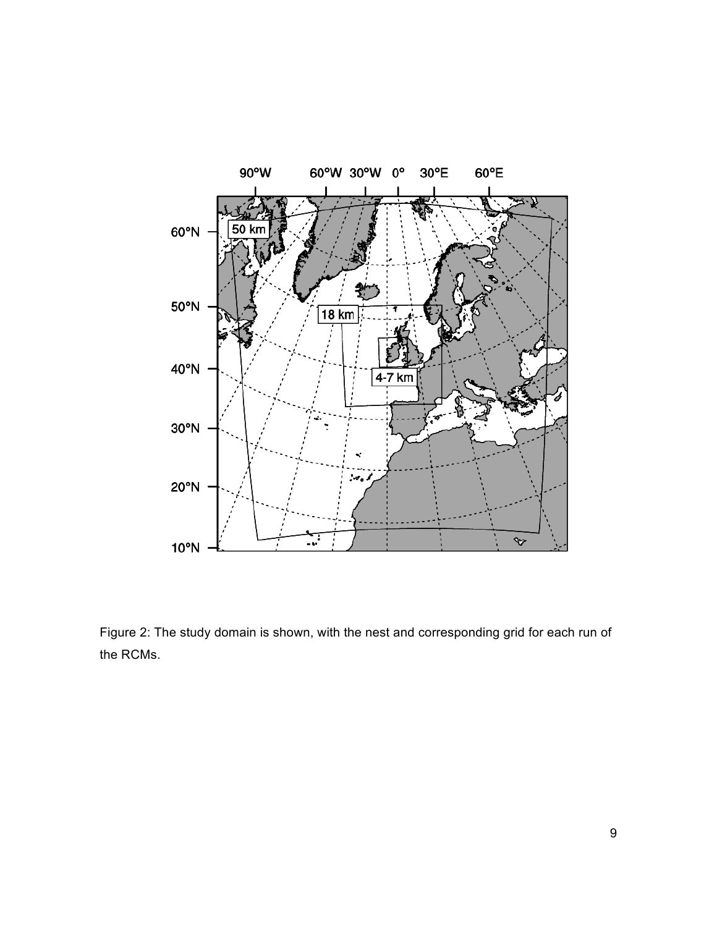

Figure 2: The study domain is shown, with the nest and corresponding grid for each run of the RCMs.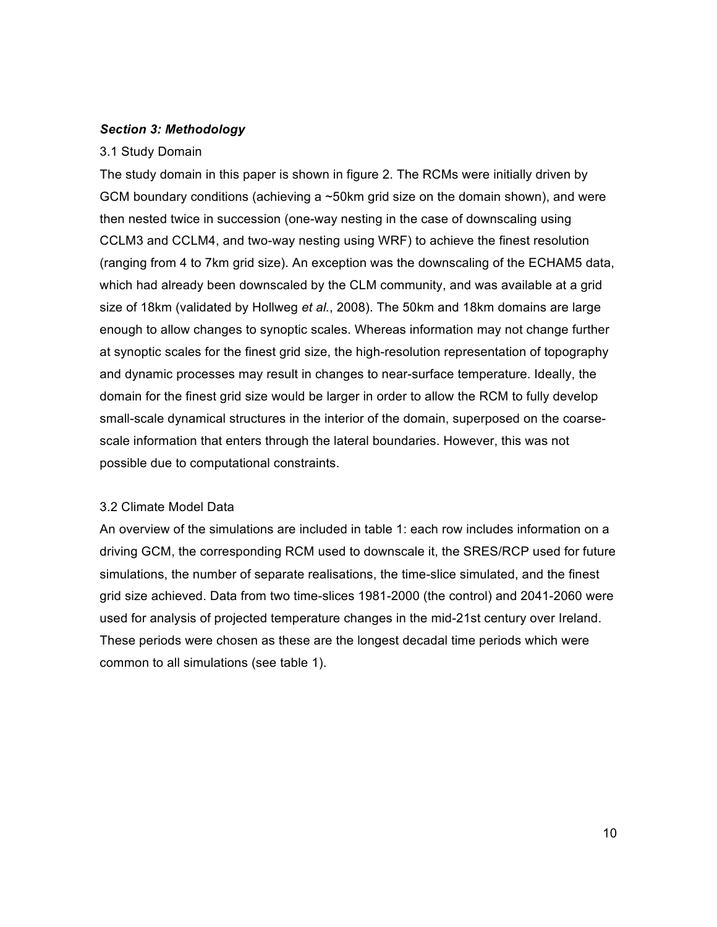## *Section 3: Methodology*

## 3.1 Study Domain

The study domain in this paper is shown in figure 2. The RCMs were initially driven by GCM boundary conditions (achieving a ~50km grid size on the domain shown), and were then nested twice in succession (one-way nesting in the case of downscaling using CCLM3 and CCLM4, and two-way nesting using WRF) to achieve the finest resolution (ranging from 4 to 7km grid size). An exception was the downscaling of the ECHAM5 data, which had already been downscaled by the CLM community, and was available at a grid size of 18km (validated by Hollweg *et al.*, 2008). The 50km and 18km domains are large enough to allow changes to synoptic scales. Whereas information may not change further at synoptic scales for the finest grid size, the high-resolution representation of topography and dynamic processes may result in changes to near-surface temperature. Ideally, the domain for the finest grid size would be larger in order to allow the RCM to fully develop small-scale dynamical structures in the interior of the domain, superposed on the coarsescale information that enters through the lateral boundaries. However, this was not possible due to computational constraints.

## 3.2 Climate Model Data

An overview of the simulations are included in table 1: each row includes information on a driving GCM, the corresponding RCM used to downscale it, the SRES/RCP used for future simulations, the number of separate realisations, the time-slice simulated, and the finest grid size achieved. Data from two time-slices 1981-2000 (the control) and 2041-2060 were used for analysis of projected temperature changes in the mid-21st century over Ireland. These periods were chosen as these are the longest decadal time periods which were common to all simulations (see table 1).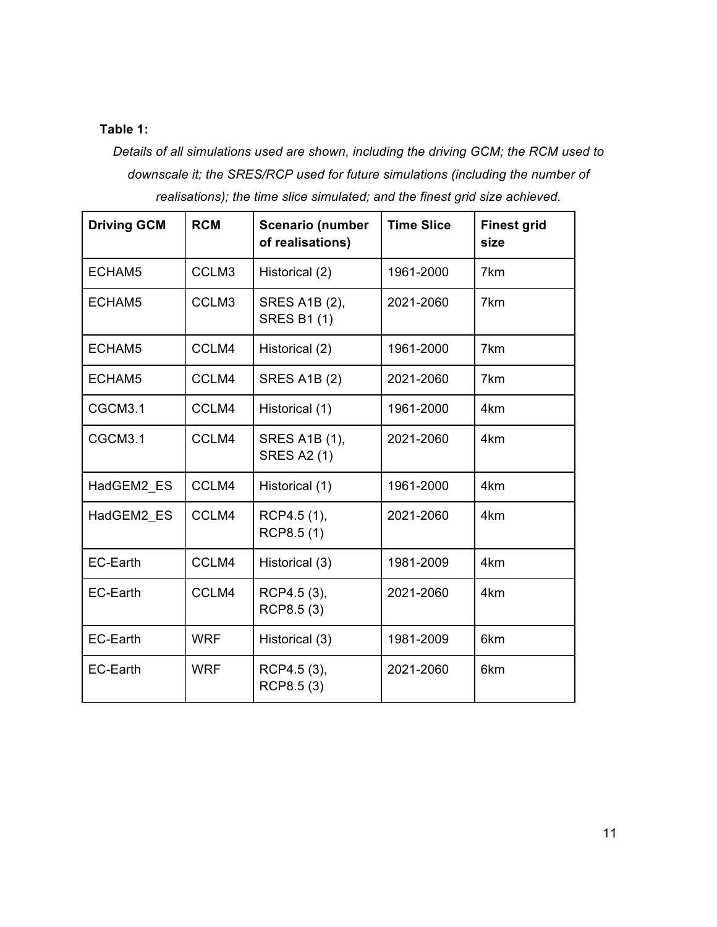# **Table 1:**

*Details of all simulations used are shown, including the driving GCM; the RCM used to downscale it; the SRES/RCP used for future simulations (including the number of realisations); the time slice simulated; and the finest grid size achieved.*

| <b>Driving GCM</b> | <b>RCM</b> | <b>Scenario (number</b><br>of realisations)      | <b>Time Slice</b> |     |
|--------------------|------------|--------------------------------------------------|-------------------|-----|
| ECHAM5             | CCLM3      | Historical (2)                                   | 1961-2000         | 7km |
| ECHAM5             | CCLM3      | 2021-2060<br>SRES A1B (2),<br><b>SRES B1 (1)</b> |                   | 7km |
| ECHAM5             | CCLM4      | Historical (2)                                   | 1961-2000         | 7km |
| ECHAM5             | CCLM4      | <b>SRES A1B (2)</b>                              | 2021-2060         | 7km |
| CGCM3.1            | CCLM4      | Historical (1)                                   | 1961-2000         | 4km |
| CGCM3.1            | CCLM4      | <b>SRES A1B (1),</b><br><b>SRES A2 (1)</b>       | 2021-2060         | 4km |
| HadGEM2 ES         | CCLM4      | Historical (1)                                   | 1961-2000         | 4km |
| HadGEM2 ES         | CCLM4      | RCP4.5 (1),<br>RCP8.5(1)                         | 2021-2060         | 4km |
| EC-Earth           | CCLM4      | Historical (3)                                   | 1981-2009         | 4km |
| <b>EC-Earth</b>    | CCLM4      | RCP4.5 (3),<br>RCP8.5 (3)                        | 2021-2060         | 4km |
| <b>EC-Earth</b>    | <b>WRF</b> | Historical (3)                                   | 1981-2009         | 6km |
| EC-Earth           | <b>WRF</b> | RCP4.5 (3),<br>RCP8.5 (3)                        | 2021-2060<br>6km  |     |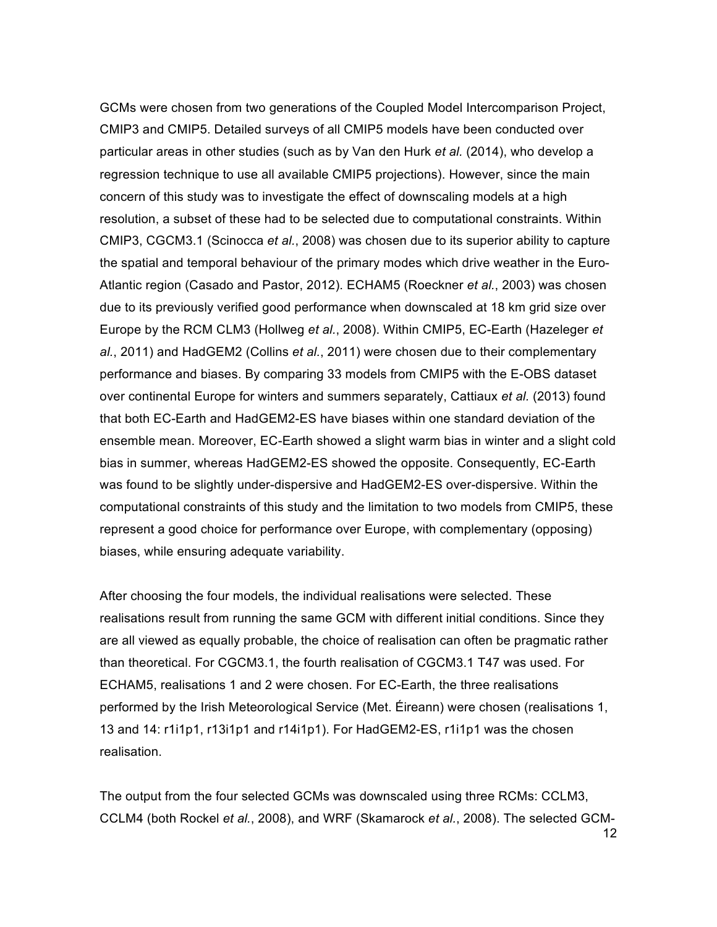GCMs were chosen from two generations of the Coupled Model Intercomparison Project, CMIP3 and CMIP5. Detailed surveys of all CMIP5 models have been conducted over particular areas in other studies (such as by Van den Hurk *et al.* (2014), who develop a regression technique to use all available CMIP5 projections). However, since the main concern of this study was to investigate the effect of downscaling models at a high resolution, a subset of these had to be selected due to computational constraints. Within CMIP3, CGCM3.1 (Scinocca *et al.*, 2008) was chosen due to its superior ability to capture the spatial and temporal behaviour of the primary modes which drive weather in the Euro-Atlantic region (Casado and Pastor, 2012). ECHAM5 (Roeckner *et al.*, 2003) was chosen due to its previously verified good performance when downscaled at 18 km grid size over Europe by the RCM CLM3 (Hollweg *et al.*, 2008). Within CMIP5, EC-Earth (Hazeleger *et al.*, 2011) and HadGEM2 (Collins *et al.*, 2011) were chosen due to their complementary performance and biases. By comparing 33 models from CMIP5 with the E-OBS dataset over continental Europe for winters and summers separately, Cattiaux *et al.* (2013) found that both EC-Earth and HadGEM2-ES have biases within one standard deviation of the ensemble mean. Moreover, EC-Earth showed a slight warm bias in winter and a slight cold bias in summer, whereas HadGEM2-ES showed the opposite. Consequently, EC-Earth was found to be slightly under-dispersive and HadGEM2-ES over-dispersive. Within the computational constraints of this study and the limitation to two models from CMIP5, these represent a good choice for performance over Europe, with complementary (opposing) biases, while ensuring adequate variability.

After choosing the four models, the individual realisations were selected. These realisations result from running the same GCM with different initial conditions. Since they are all viewed as equally probable, the choice of realisation can often be pragmatic rather than theoretical. For CGCM3.1, the fourth realisation of CGCM3.1 T47 was used. For ECHAM5, realisations 1 and 2 were chosen. For EC-Earth, the three realisations performed by the Irish Meteorological Service (Met. Éireann) were chosen (realisations 1, 13 and 14: r1i1p1, r13i1p1 and r14i1p1). For HadGEM2-ES, r1i1p1 was the chosen realisation.

The output from the four selected GCMs was downscaled using three RCMs: CCLM3, CCLM4 (both Rockel *et al.*, 2008), and WRF (Skamarock *et al.*, 2008). The selected GCM-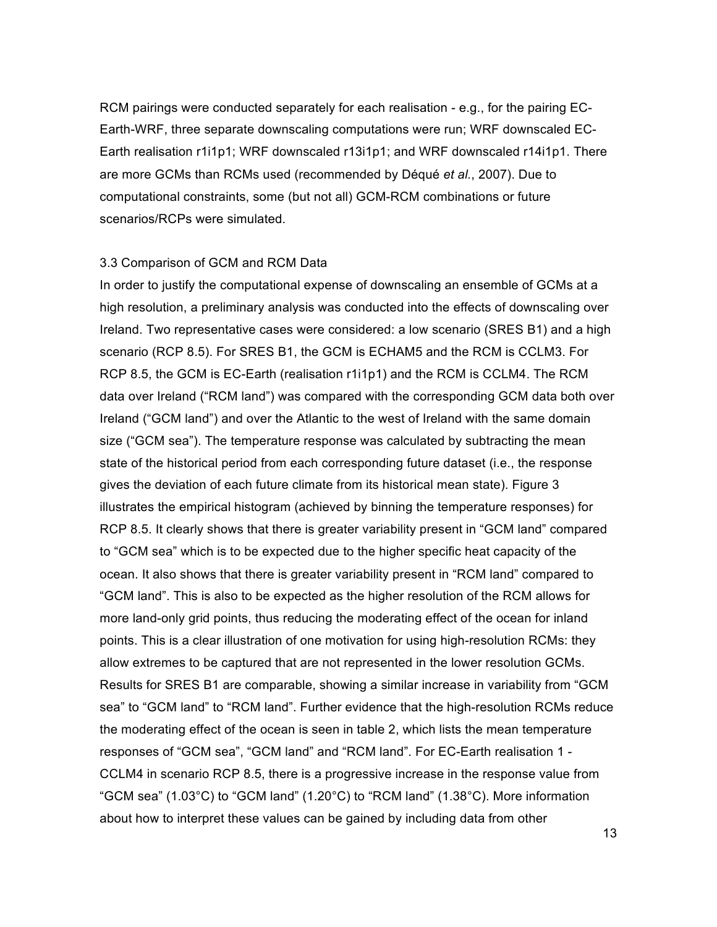RCM pairings were conducted separately for each realisation - e.g., for the pairing EC-Earth-WRF, three separate downscaling computations were run; WRF downscaled EC-Earth realisation r1i1p1; WRF downscaled r13i1p1; and WRF downscaled r14i1p1. There are more GCMs than RCMs used (recommended by Déqué *et al.*, 2007). Due to computational constraints, some (but not all) GCM-RCM combinations or future scenarios/RCPs were simulated.

## 3.3 Comparison of GCM and RCM Data

In order to justify the computational expense of downscaling an ensemble of GCMs at a high resolution, a preliminary analysis was conducted into the effects of downscaling over Ireland. Two representative cases were considered: a low scenario (SRES B1) and a high scenario (RCP 8.5). For SRES B1, the GCM is ECHAM5 and the RCM is CCLM3. For RCP 8.5, the GCM is EC-Earth (realisation r1i1p1) and the RCM is CCLM4. The RCM data over Ireland ("RCM land") was compared with the corresponding GCM data both over Ireland ("GCM land") and over the Atlantic to the west of Ireland with the same domain size ("GCM sea"). The temperature response was calculated by subtracting the mean state of the historical period from each corresponding future dataset (i.e., the response gives the deviation of each future climate from its historical mean state). Figure 3 illustrates the empirical histogram (achieved by binning the temperature responses) for RCP 8.5. It clearly shows that there is greater variability present in "GCM land" compared to "GCM sea" which is to be expected due to the higher specific heat capacity of the ocean. It also shows that there is greater variability present in "RCM land" compared to "GCM land". This is also to be expected as the higher resolution of the RCM allows for more land-only grid points, thus reducing the moderating effect of the ocean for inland points. This is a clear illustration of one motivation for using high-resolution RCMs: they allow extremes to be captured that are not represented in the lower resolution GCMs. Results for SRES B1 are comparable, showing a similar increase in variability from "GCM sea" to "GCM land" to "RCM land". Further evidence that the high-resolution RCMs reduce the moderating effect of the ocean is seen in table 2, which lists the mean temperature responses of "GCM sea", "GCM land" and "RCM land". For EC-Earth realisation 1 - CCLM4 in scenario RCP 8.5, there is a progressive increase in the response value from "GCM sea" (1.03°C) to "GCM land" (1.20°C) to "RCM land" (1.38°C). More information about how to interpret these values can be gained by including data from other

13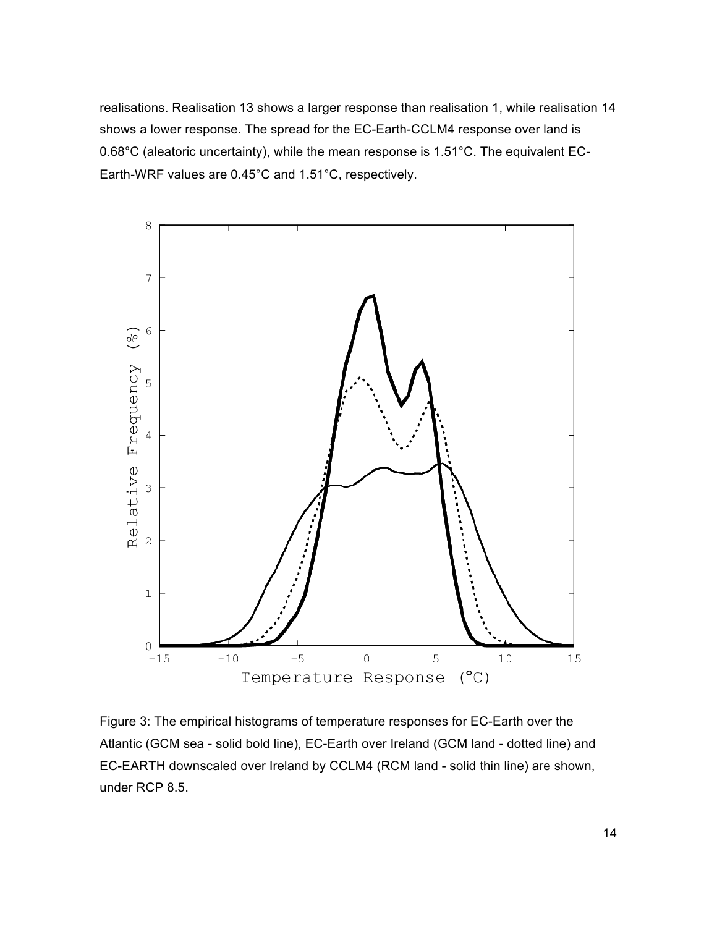realisations. Realisation 13 shows a larger response than realisation 1, while realisation 14 shows a lower response. The spread for the EC-Earth-CCLM4 response over land is 0.68°C (aleatoric uncertainty), while the mean response is 1.51°C. The equivalent EC-Earth-WRF values are 0.45°C and 1.51°C, respectively.



Figure 3: The empirical histograms of temperature responses for EC-Earth over the Atlantic (GCM sea - solid bold line), EC-Earth over Ireland (GCM land - dotted line) and EC-EARTH downscaled over Ireland by CCLM4 (RCM land - solid thin line) are shown, under RCP 8.5.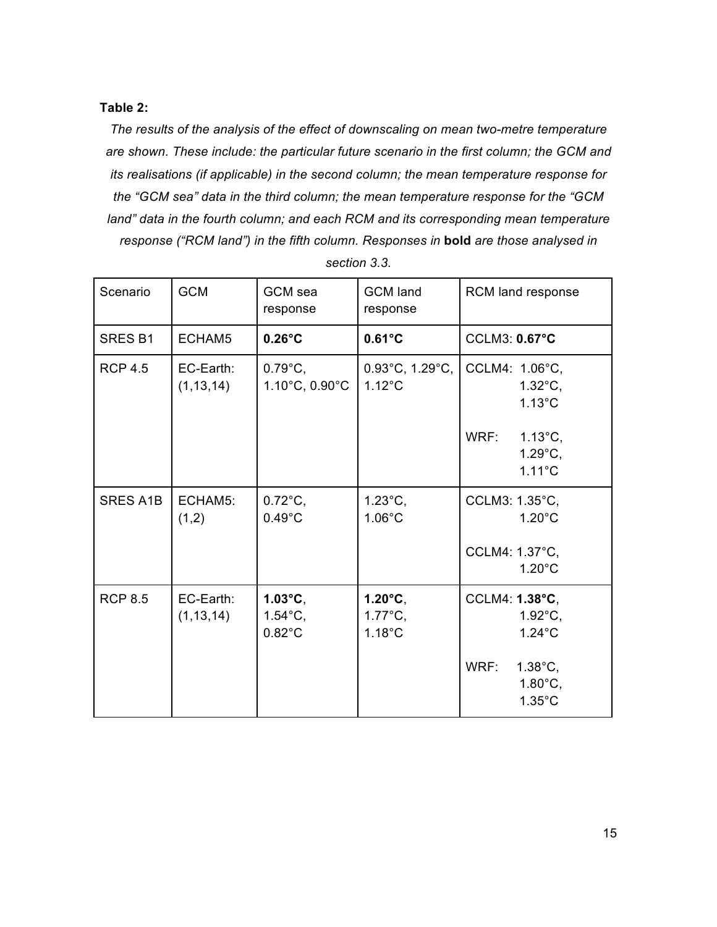# **Table 2:**

*The results of the analysis of the effect of downscaling on mean two-metre temperature are shown. These include: the particular future scenario in the first column; the GCM and its realisations (if applicable) in the second column; the mean temperature response for the "GCM sea" data in the third column; the mean temperature response for the "GCM land" data in the fourth column; and each RCM and its corresponding mean temperature response ("RCM land") in the fifth column. Responses in* **bold** *are those analysed in* 

| Scenario        | <b>GCM</b>               | GCM sea<br>response                                        | <b>GCM</b> land<br>response                                | RCM land response                                                  |
|-----------------|--------------------------|------------------------------------------------------------|------------------------------------------------------------|--------------------------------------------------------------------|
| <b>SRES B1</b>  | ECHAM5                   | $0.26^{\circ}$ C                                           | $0.61^{\circ}$ C                                           | <b>CCLM3: 0.67°C</b>                                               |
| <b>RCP 4.5</b>  | EC-Earth:<br>(1, 13, 14) | $0.79^{\circ}$ C,<br>1.10°C, 0.90°C                        | $0.93^{\circ}$ C, 1.29 $^{\circ}$ C,<br>$1.12^{\circ}$ C   | CCLM4: 1.06°C,<br>$1.32^{\circ}$ C,<br>$1.13^{\circ}$ C            |
|                 |                          |                                                            |                                                            | WRF:<br>$1.13^{\circ}C,$<br>$1.29^{\circ}$ C,<br>$1.11^{\circ}$ C  |
| <b>SRES A1B</b> | ECHAM5:<br>(1,2)         | $0.72^{\circ}$ C,<br>$0.49^{\circ}$ C                      | $1.23^{\circ}$ C,<br>$1.06^{\circ}$ C                      | CCLM3: 1.35°C,<br>$1.20^{\circ}$ C                                 |
|                 |                          |                                                            |                                                            | CCLM4: 1.37°C,<br>$1.20^{\circ}$ C                                 |
| <b>RCP 8.5</b>  | EC-Earth:<br>(1, 13, 14) | $1.03^{\circ}$ C,<br>$1.54^{\circ}$ C,<br>$0.82^{\circ}$ C | $1.20^{\circ}$ C,<br>$1.77^{\circ}$ C,<br>$1.18^{\circ}$ C | CCLM4: 1.38°C,<br>$1.92^{\circ}$ C,<br>$1.24^{\circ}$ C            |
|                 |                          |                                                            |                                                            | WRF:<br>$1.38^{\circ}$ C,<br>$1.80^{\circ}$ C,<br>$1.35^{\circ}$ C |

*section 3.3.*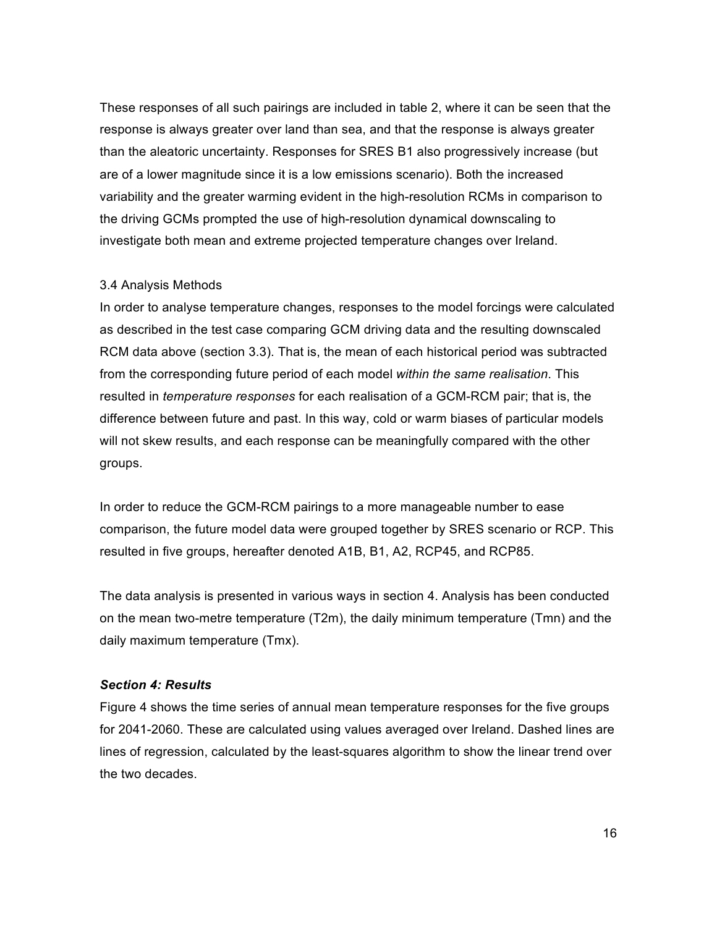These responses of all such pairings are included in table 2, where it can be seen that the response is always greater over land than sea, and that the response is always greater than the aleatoric uncertainty. Responses for SRES B1 also progressively increase (but are of a lower magnitude since it is a low emissions scenario). Both the increased variability and the greater warming evident in the high-resolution RCMs in comparison to the driving GCMs prompted the use of high-resolution dynamical downscaling to investigate both mean and extreme projected temperature changes over Ireland.

# 3.4 Analysis Methods

In order to analyse temperature changes, responses to the model forcings were calculated as described in the test case comparing GCM driving data and the resulting downscaled RCM data above (section 3.3). That is, the mean of each historical period was subtracted from the corresponding future period of each model *within the same realisation*. This resulted in *temperature responses* for each realisation of a GCM-RCM pair; that is, the difference between future and past. In this way, cold or warm biases of particular models will not skew results, and each response can be meaningfully compared with the other groups.

In order to reduce the GCM-RCM pairings to a more manageable number to ease comparison, the future model data were grouped together by SRES scenario or RCP. This resulted in five groups, hereafter denoted A1B, B1, A2, RCP45, and RCP85.

The data analysis is presented in various ways in section 4. Analysis has been conducted on the mean two-metre temperature (T2m), the daily minimum temperature (Tmn) and the daily maximum temperature (Tmx).

# *Section 4: Results*

Figure 4 shows the time series of annual mean temperature responses for the five groups for 2041-2060. These are calculated using values averaged over Ireland. Dashed lines are lines of regression, calculated by the least-squares algorithm to show the linear trend over the two decades.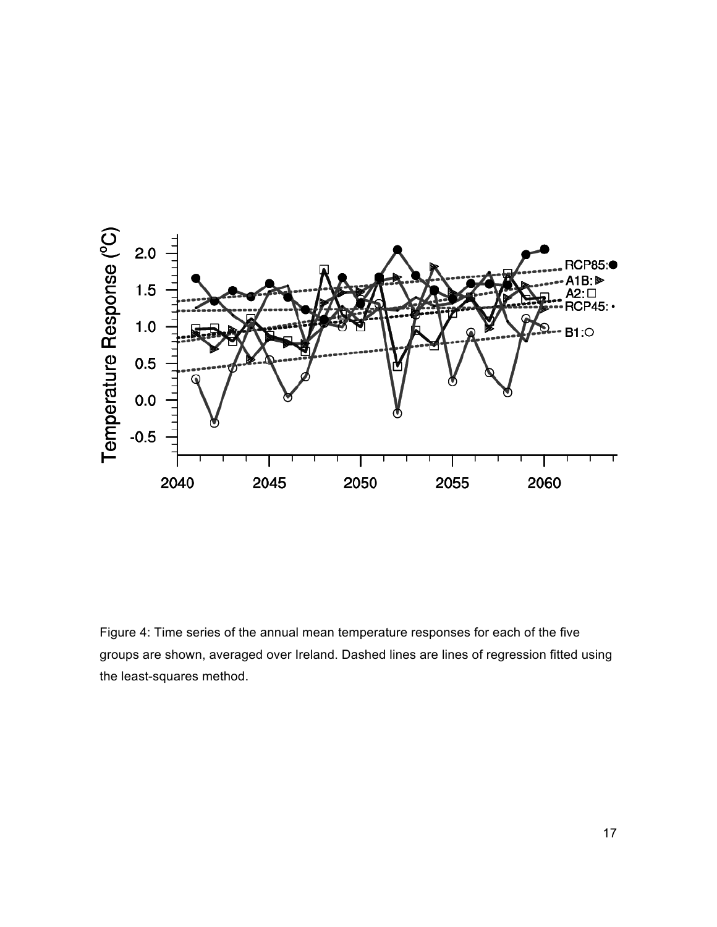

Figure 4: Time series of the annual mean temperature responses for each of the five groups are shown, averaged over Ireland. Dashed lines are lines of regression fitted using the least-squares method.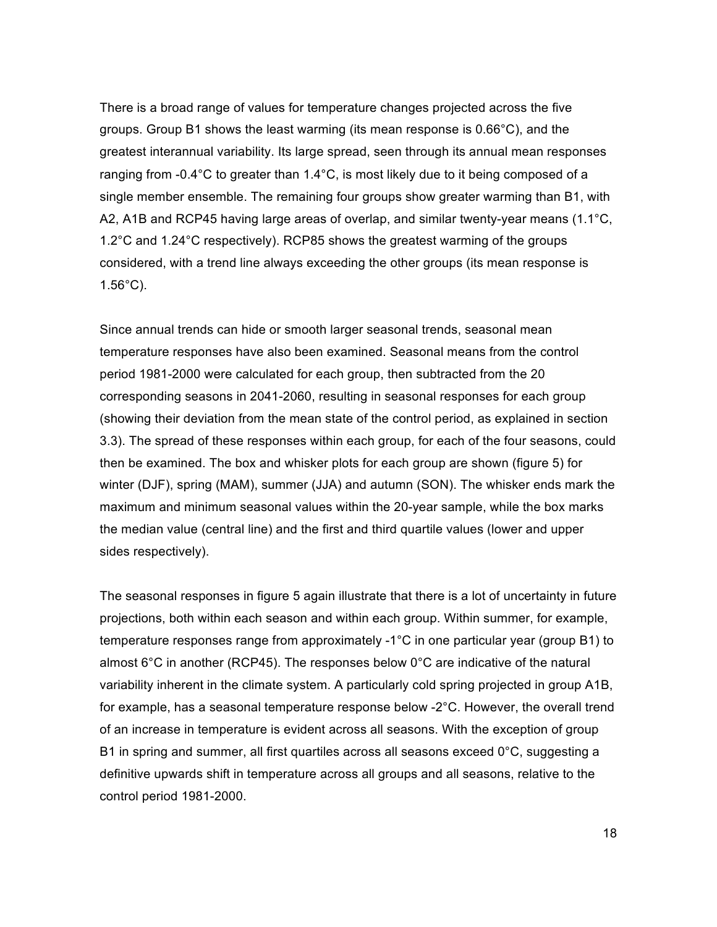There is a broad range of values for temperature changes projected across the five groups. Group B1 shows the least warming (its mean response is 0.66°C), and the greatest interannual variability. Its large spread, seen through its annual mean responses ranging from -0.4°C to greater than 1.4°C, is most likely due to it being composed of a single member ensemble. The remaining four groups show greater warming than B1, with A2, A1B and RCP45 having large areas of overlap, and similar twenty-year means (1.1°C, 1.2°C and 1.24°C respectively). RCP85 shows the greatest warming of the groups considered, with a trend line always exceeding the other groups (its mean response is 1.56°C).

Since annual trends can hide or smooth larger seasonal trends, seasonal mean temperature responses have also been examined. Seasonal means from the control period 1981-2000 were calculated for each group, then subtracted from the 20 corresponding seasons in 2041-2060, resulting in seasonal responses for each group (showing their deviation from the mean state of the control period, as explained in section 3.3). The spread of these responses within each group, for each of the four seasons, could then be examined. The box and whisker plots for each group are shown (figure 5) for winter (DJF), spring (MAM), summer (JJA) and autumn (SON). The whisker ends mark the maximum and minimum seasonal values within the 20-year sample, while the box marks the median value (central line) and the first and third quartile values (lower and upper sides respectively).

The seasonal responses in figure 5 again illustrate that there is a lot of uncertainty in future projections, both within each season and within each group. Within summer, for example, temperature responses range from approximately -1°C in one particular year (group B1) to almost 6°C in another (RCP45). The responses below 0°C are indicative of the natural variability inherent in the climate system. A particularly cold spring projected in group A1B, for example, has a seasonal temperature response below -2°C. However, the overall trend of an increase in temperature is evident across all seasons. With the exception of group B1 in spring and summer, all first quartiles across all seasons exceed 0°C, suggesting a definitive upwards shift in temperature across all groups and all seasons, relative to the control period 1981-2000.

18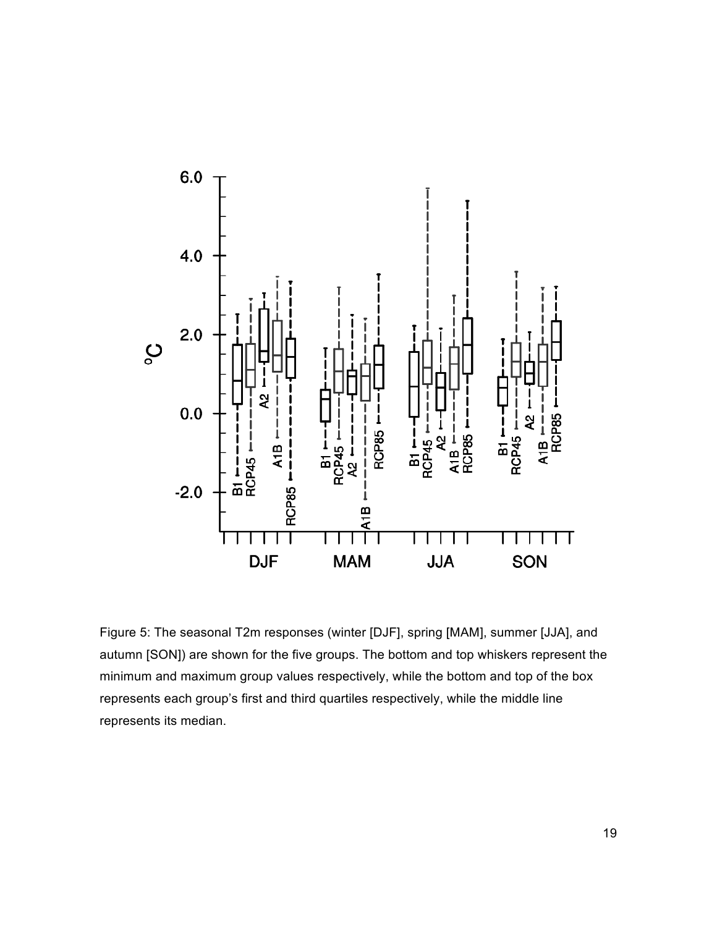

Figure 5: The seasonal T2m responses (winter [DJF], spring [MAM], summer [JJA], and autumn [SON]) are shown for the five groups. The bottom and top whiskers represent the minimum and maximum group values respectively, while the bottom and top of the box represents each group's first and third quartiles respectively, while the middle line represents its median.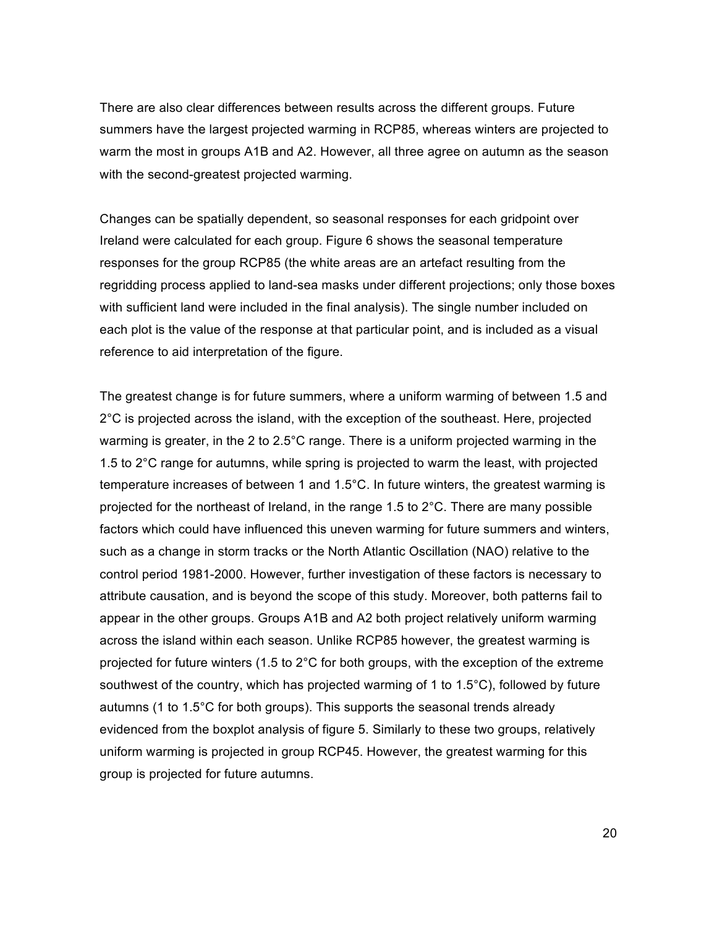There are also clear differences between results across the different groups. Future summers have the largest projected warming in RCP85, whereas winters are projected to warm the most in groups A1B and A2. However, all three agree on autumn as the season with the second-greatest projected warming.

Changes can be spatially dependent, so seasonal responses for each gridpoint over Ireland were calculated for each group. Figure 6 shows the seasonal temperature responses for the group RCP85 (the white areas are an artefact resulting from the regridding process applied to land-sea masks under different projections; only those boxes with sufficient land were included in the final analysis). The single number included on each plot is the value of the response at that particular point, and is included as a visual reference to aid interpretation of the figure.

The greatest change is for future summers, where a uniform warming of between 1.5 and 2°C is projected across the island, with the exception of the southeast. Here, projected warming is greater, in the 2 to 2.5°C range. There is a uniform projected warming in the 1.5 to 2°C range for autumns, while spring is projected to warm the least, with projected temperature increases of between 1 and 1.5°C. In future winters, the greatest warming is projected for the northeast of Ireland, in the range 1.5 to  $2^{\circ}$ C. There are many possible factors which could have influenced this uneven warming for future summers and winters, such as a change in storm tracks or the North Atlantic Oscillation (NAO) relative to the control period 1981-2000. However, further investigation of these factors is necessary to attribute causation, and is beyond the scope of this study. Moreover, both patterns fail to appear in the other groups. Groups A1B and A2 both project relatively uniform warming across the island within each season. Unlike RCP85 however, the greatest warming is projected for future winters (1.5 to 2°C for both groups, with the exception of the extreme southwest of the country, which has projected warming of 1 to 1.5°C), followed by future autumns (1 to 1.5°C for both groups). This supports the seasonal trends already evidenced from the boxplot analysis of figure 5. Similarly to these two groups, relatively uniform warming is projected in group RCP45. However, the greatest warming for this group is projected for future autumns.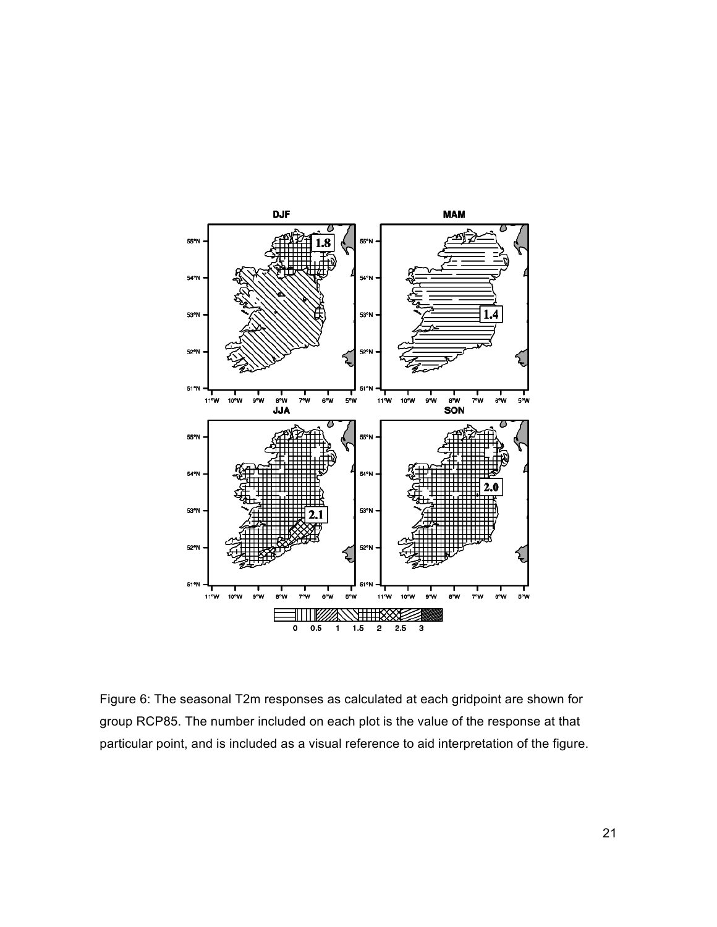

Figure 6: The seasonal T2m responses as calculated at each gridpoint are shown for group RCP85. The number included on each plot is the value of the response at that particular point, and is included as a visual reference to aid interpretation of the figure.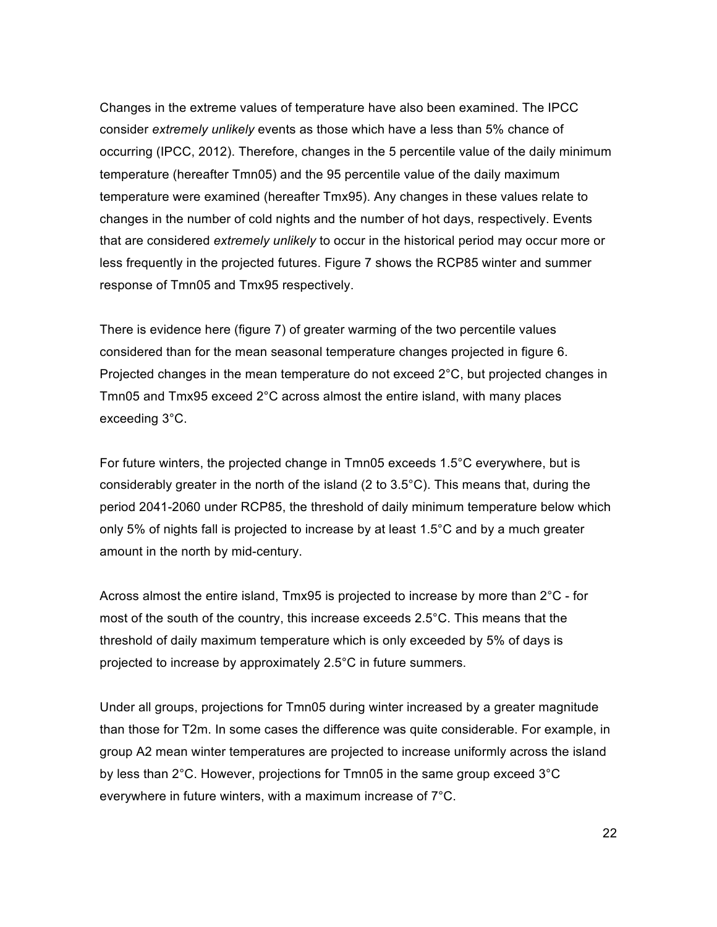Changes in the extreme values of temperature have also been examined. The IPCC consider *extremely unlikely* events as those which have a less than 5% chance of occurring (IPCC, 2012). Therefore, changes in the 5 percentile value of the daily minimum temperature (hereafter Tmn05) and the 95 percentile value of the daily maximum temperature were examined (hereafter Tmx95). Any changes in these values relate to changes in the number of cold nights and the number of hot days, respectively. Events that are considered *extremely unlikely* to occur in the historical period may occur more or less frequently in the projected futures. Figure 7 shows the RCP85 winter and summer response of Tmn05 and Tmx95 respectively.

There is evidence here (figure 7) of greater warming of the two percentile values considered than for the mean seasonal temperature changes projected in figure 6. Projected changes in the mean temperature do not exceed 2°C, but projected changes in Tmn05 and Tmx95 exceed 2°C across almost the entire island, with many places exceeding 3°C.

For future winters, the projected change in Tmn05 exceeds 1.5°C everywhere, but is considerably greater in the north of the island (2 to 3.5°C). This means that, during the period 2041-2060 under RCP85, the threshold of daily minimum temperature below which only 5% of nights fall is projected to increase by at least 1.5°C and by a much greater amount in the north by mid-century.

Across almost the entire island, Tmx95 is projected to increase by more than  $2^{\circ}C$  - for most of the south of the country, this increase exceeds 2.5°C. This means that the threshold of daily maximum temperature which is only exceeded by 5% of days is projected to increase by approximately 2.5°C in future summers.

Under all groups, projections for Tmn05 during winter increased by a greater magnitude than those for T2m. In some cases the difference was quite considerable. For example, in group A2 mean winter temperatures are projected to increase uniformly across the island by less than 2°C. However, projections for Tmn05 in the same group exceed 3°C everywhere in future winters, with a maximum increase of 7°C.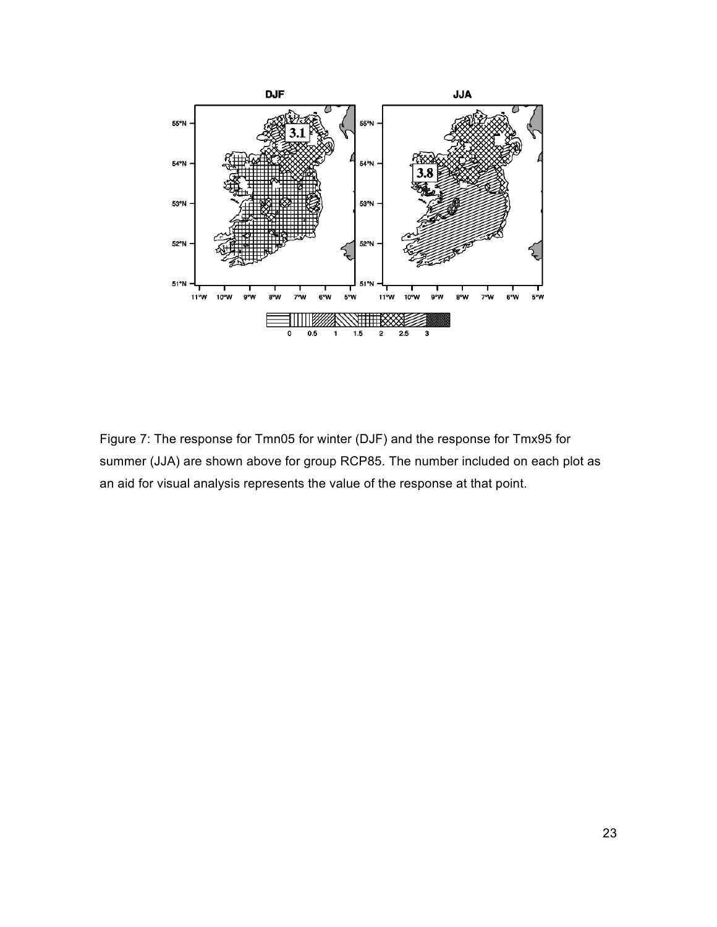

Figure 7: The response for Tmn05 for winter (DJF) and the response for Tmx95 for summer (JJA) are shown above for group RCP85. The number included on each plot as an aid for visual analysis represents the value of the response at that point.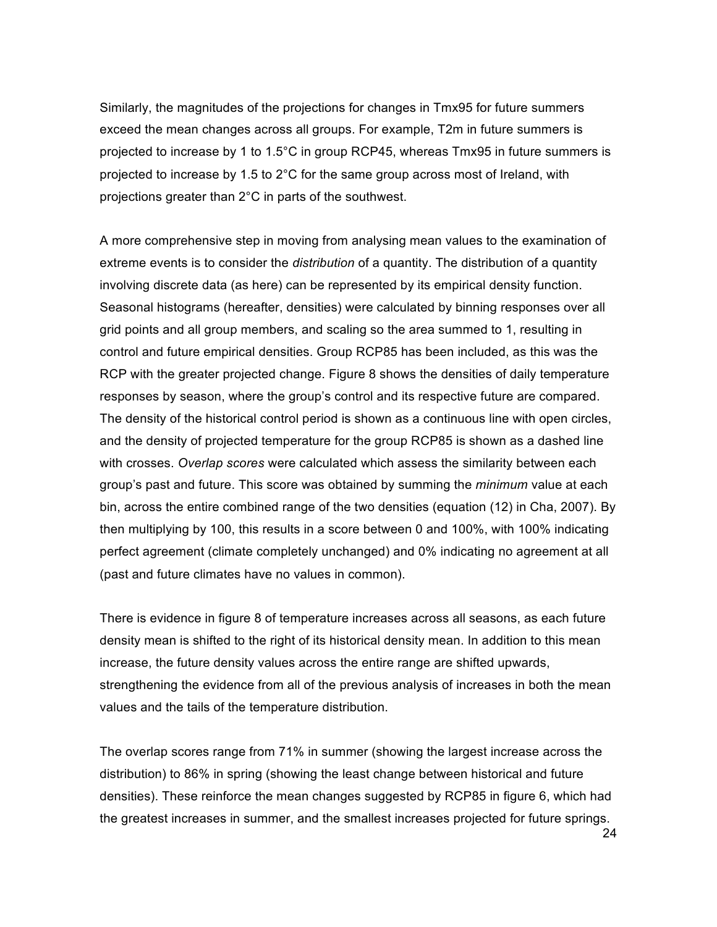Similarly, the magnitudes of the projections for changes in Tmx95 for future summers exceed the mean changes across all groups. For example, T2m in future summers is projected to increase by 1 to 1.5°C in group RCP45, whereas Tmx95 in future summers is projected to increase by 1.5 to 2°C for the same group across most of Ireland, with projections greater than 2°C in parts of the southwest.

A more comprehensive step in moving from analysing mean values to the examination of extreme events is to consider the *distribution* of a quantity. The distribution of a quantity involving discrete data (as here) can be represented by its empirical density function. Seasonal histograms (hereafter, densities) were calculated by binning responses over all grid points and all group members, and scaling so the area summed to 1, resulting in control and future empirical densities. Group RCP85 has been included, as this was the RCP with the greater projected change. Figure 8 shows the densities of daily temperature responses by season, where the group's control and its respective future are compared. The density of the historical control period is shown as a continuous line with open circles, and the density of projected temperature for the group RCP85 is shown as a dashed line with crosses. *Overlap scores* were calculated which assess the similarity between each group's past and future. This score was obtained by summing the *minimum* value at each bin, across the entire combined range of the two densities (equation (12) in Cha, 2007). By then multiplying by 100, this results in a score between 0 and 100%, with 100% indicating perfect agreement (climate completely unchanged) and 0% indicating no agreement at all (past and future climates have no values in common).

There is evidence in figure 8 of temperature increases across all seasons, as each future density mean is shifted to the right of its historical density mean. In addition to this mean increase, the future density values across the entire range are shifted upwards, strengthening the evidence from all of the previous analysis of increases in both the mean values and the tails of the temperature distribution.

The overlap scores range from 71% in summer (showing the largest increase across the distribution) to 86% in spring (showing the least change between historical and future densities). These reinforce the mean changes suggested by RCP85 in figure 6, which had the greatest increases in summer, and the smallest increases projected for future springs.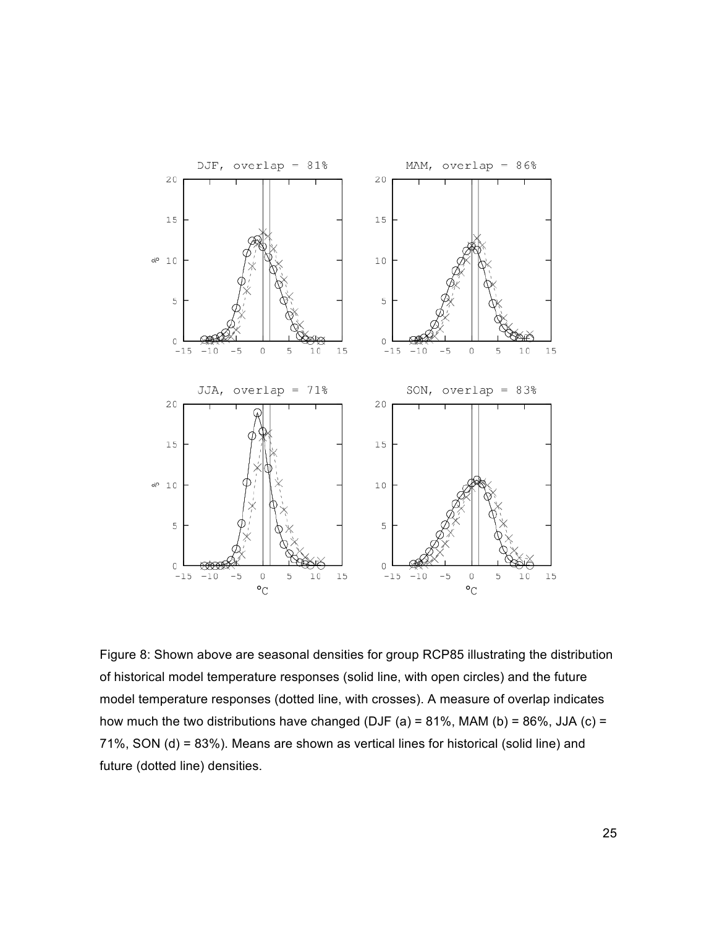

Figure 8: Shown above are seasonal densities for group RCP85 illustrating the distribution of historical model temperature responses (solid line, with open circles) and the future model temperature responses (dotted line, with crosses). A measure of overlap indicates how much the two distributions have changed (DJF (a) = 81%, MAM (b) = 86%, JJA (c) = 71%, SON (d) = 83%). Means are shown as vertical lines for historical (solid line) and future (dotted line) densities.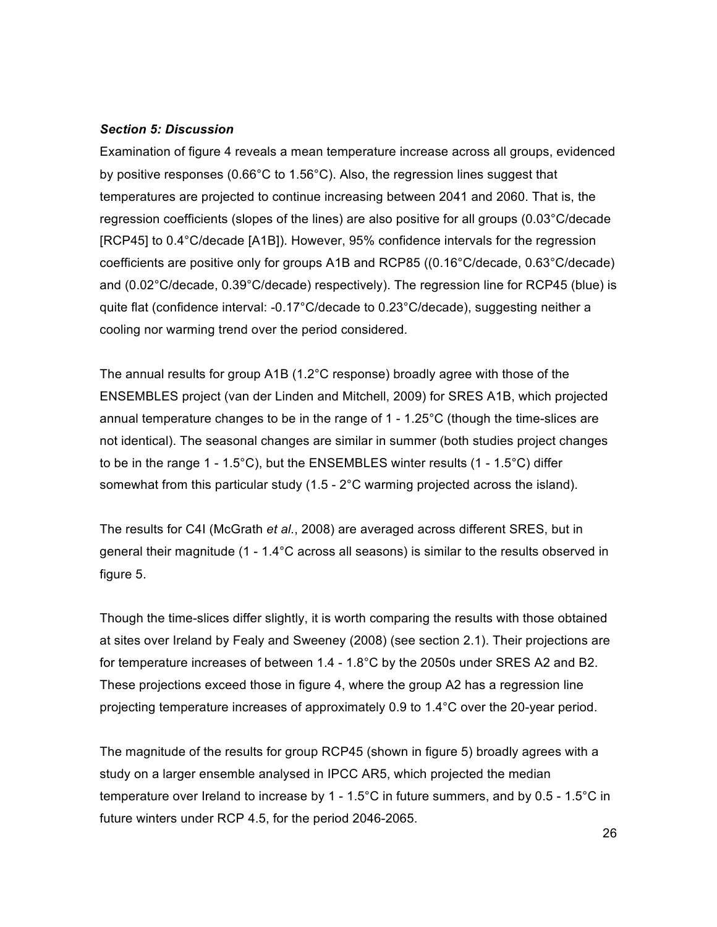#### *Section 5: Discussion*

Examination of figure 4 reveals a mean temperature increase across all groups, evidenced by positive responses (0.66°C to 1.56°C). Also, the regression lines suggest that temperatures are projected to continue increasing between 2041 and 2060. That is, the regression coefficients (slopes of the lines) are also positive for all groups (0.03°C/decade [RCP45] to 0.4°C/decade [A1B]). However, 95% confidence intervals for the regression coefficients are positive only for groups A1B and RCP85 ((0.16°C/decade, 0.63°C/decade) and (0.02°C/decade, 0.39°C/decade) respectively). The regression line for RCP45 (blue) is quite flat (confidence interval: -0.17°C/decade to 0.23°C/decade), suggesting neither a cooling nor warming trend over the period considered.

The annual results for group A1B (1.2°C response) broadly agree with those of the ENSEMBLES project (van der Linden and Mitchell, 2009) for SRES A1B, which projected annual temperature changes to be in the range of 1 - 1.25°C (though the time-slices are not identical). The seasonal changes are similar in summer (both studies project changes to be in the range 1 - 1.5°C), but the ENSEMBLES winter results (1 - 1.5°C) differ somewhat from this particular study (1.5 - 2°C warming projected across the island).

The results for C4I (McGrath *et al.*, 2008) are averaged across different SRES, but in general their magnitude (1 - 1.4°C across all seasons) is similar to the results observed in figure 5.

Though the time-slices differ slightly, it is worth comparing the results with those obtained at sites over Ireland by Fealy and Sweeney (2008) (see section 2.1). Their projections are for temperature increases of between 1.4 - 1.8°C by the 2050s under SRES A2 and B2. These projections exceed those in figure 4, where the group A2 has a regression line projecting temperature increases of approximately 0.9 to 1.4°C over the 20-year period.

The magnitude of the results for group RCP45 (shown in figure 5) broadly agrees with a study on a larger ensemble analysed in IPCC AR5, which projected the median temperature over Ireland to increase by 1 - 1.5°C in future summers, and by 0.5 - 1.5°C in future winters under RCP 4.5, for the period 2046-2065.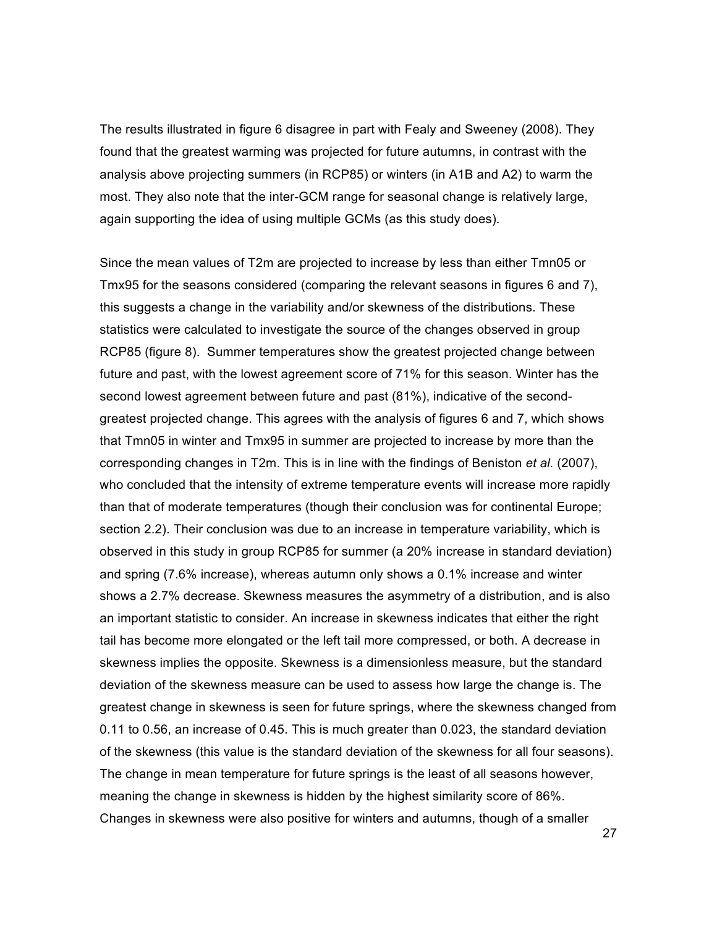The results illustrated in figure 6 disagree in part with Fealy and Sweeney (2008). They found that the greatest warming was projected for future autumns, in contrast with the analysis above projecting summers (in RCP85) or winters (in A1B and A2) to warm the most. They also note that the inter-GCM range for seasonal change is relatively large, again supporting the idea of using multiple GCMs (as this study does).

Since the mean values of T2m are projected to increase by less than either Tmn05 or Tmx95 for the seasons considered (comparing the relevant seasons in figures 6 and 7), this suggests a change in the variability and/or skewness of the distributions. These statistics were calculated to investigate the source of the changes observed in group RCP85 (figure 8). Summer temperatures show the greatest projected change between future and past, with the lowest agreement score of 71% for this season. Winter has the second lowest agreement between future and past (81%), indicative of the secondgreatest projected change. This agrees with the analysis of figures 6 and 7, which shows that Tmn05 in winter and Tmx95 in summer are projected to increase by more than the corresponding changes in T2m. This is in line with the findings of Beniston *et al.* (2007), who concluded that the intensity of extreme temperature events will increase more rapidly than that of moderate temperatures (though their conclusion was for continental Europe; section 2.2). Their conclusion was due to an increase in temperature variability, which is observed in this study in group RCP85 for summer (a 20% increase in standard deviation) and spring (7.6% increase), whereas autumn only shows a 0.1% increase and winter shows a 2.7% decrease. Skewness measures the asymmetry of a distribution, and is also an important statistic to consider. An increase in skewness indicates that either the right tail has become more elongated or the left tail more compressed, or both. A decrease in skewness implies the opposite. Skewness is a dimensionless measure, but the standard deviation of the skewness measure can be used to assess how large the change is. The greatest change in skewness is seen for future springs, where the skewness changed from 0.11 to 0.56, an increase of 0.45. This is much greater than 0.023, the standard deviation of the skewness (this value is the standard deviation of the skewness for all four seasons). The change in mean temperature for future springs is the least of all seasons however, meaning the change in skewness is hidden by the highest similarity score of 86%. Changes in skewness were also positive for winters and autumns, though of a smaller

27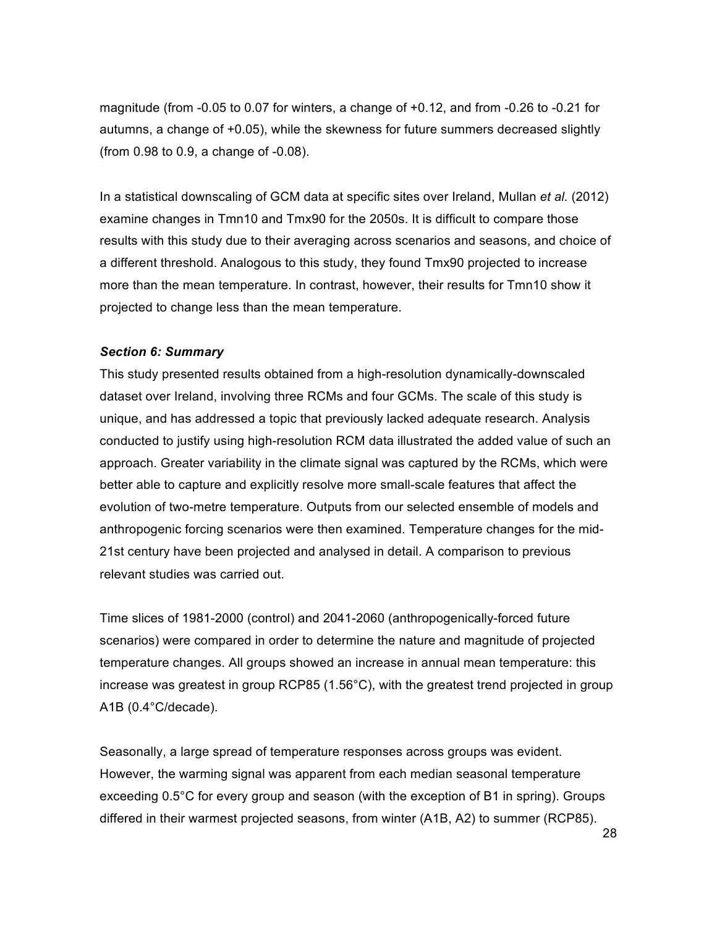magnitude (from -0.05 to 0.07 for winters, a change of +0.12, and from -0.26 to -0.21 for autumns, a change of +0.05), while the skewness for future summers decreased slightly (from 0.98 to 0.9, a change of -0.08).

In a statistical downscaling of GCM data at specific sites over Ireland, Mullan *et al.* (2012) examine changes in Tmn10 and Tmx90 for the 2050s. It is difficult to compare those results with this study due to their averaging across scenarios and seasons, and choice of a different threshold. Analogous to this study, they found Tmx90 projected to increase more than the mean temperature. In contrast, however, their results for Tmn10 show it projected to change less than the mean temperature.

#### *Section 6: Summary*

This study presented results obtained from a high-resolution dynamically-downscaled dataset over Ireland, involving three RCMs and four GCMs. The scale of this study is unique, and has addressed a topic that previously lacked adequate research. Analysis conducted to justify using high-resolution RCM data illustrated the added value of such an approach. Greater variability in the climate signal was captured by the RCMs, which were better able to capture and explicitly resolve more small-scale features that affect the evolution of two-metre temperature. Outputs from our selected ensemble of models and anthropogenic forcing scenarios were then examined. Temperature changes for the mid-21st century have been projected and analysed in detail. A comparison to previous relevant studies was carried out.

Time slices of 1981-2000 (control) and 2041-2060 (anthropogenically-forced future scenarios) were compared in order to determine the nature and magnitude of projected temperature changes. All groups showed an increase in annual mean temperature: this increase was greatest in group RCP85 (1.56°C), with the greatest trend projected in group A1B (0.4°C/decade).

Seasonally, a large spread of temperature responses across groups was evident. However, the warming signal was apparent from each median seasonal temperature exceeding 0.5°C for every group and season (with the exception of B1 in spring). Groups differed in their warmest projected seasons, from winter (A1B, A2) to summer (RCP85).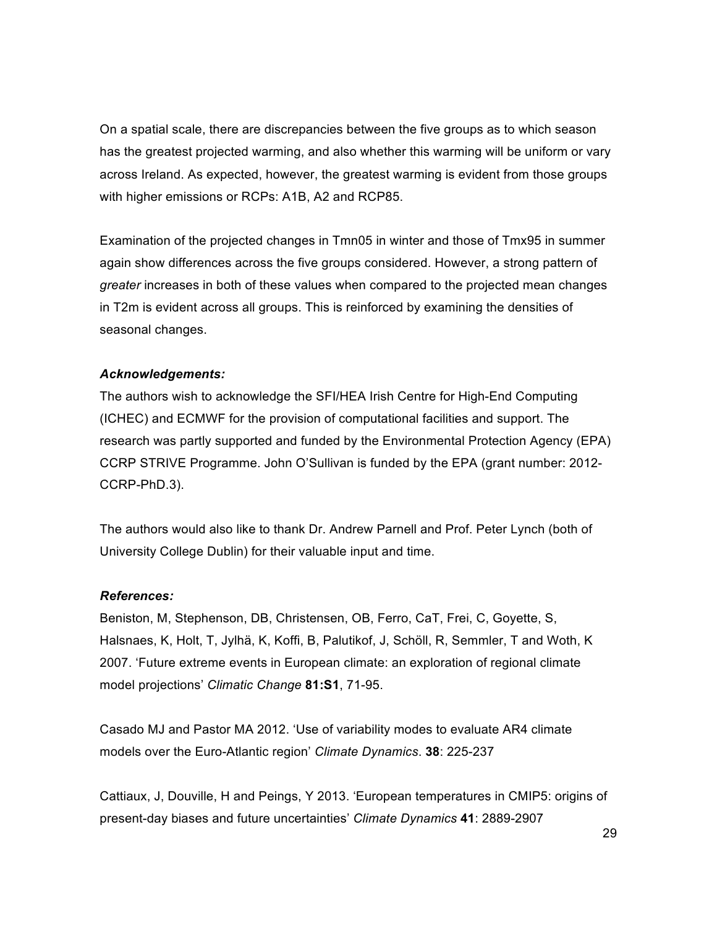On a spatial scale, there are discrepancies between the five groups as to which season has the greatest projected warming, and also whether this warming will be uniform or vary across Ireland. As expected, however, the greatest warming is evident from those groups with higher emissions or RCPs: A1B, A2 and RCP85.

Examination of the projected changes in Tmn05 in winter and those of Tmx95 in summer again show differences across the five groups considered. However, a strong pattern of *greater* increases in both of these values when compared to the projected mean changes in T2m is evident across all groups. This is reinforced by examining the densities of seasonal changes.

## *Acknowledgements:*

The authors wish to acknowledge the SFI/HEA Irish Centre for High-End Computing (ICHEC) and ECMWF for the provision of computational facilities and support. The research was partly supported and funded by the Environmental Protection Agency (EPA) CCRP STRIVE Programme. John O'Sullivan is funded by the EPA (grant number: 2012- CCRP-PhD.3).

The authors would also like to thank Dr. Andrew Parnell and Prof. Peter Lynch (both of University College Dublin) for their valuable input and time.

## *References:*

Beniston, M, Stephenson, DB, Christensen, OB, Ferro, CaT, Frei, C, Goyette, S, Halsnaes, K, Holt, T, Jylhä, K, Koffi, B, Palutikof, J, Schöll, R, Semmler, T and Woth, K 2007. 'Future extreme events in European climate: an exploration of regional climate model projections' *Climatic Change* **81:S1**, 71-95.

Casado MJ and Pastor MA 2012. 'Use of variability modes to evaluate AR4 climate models over the Euro-Atlantic region' *Climate Dynamics*. **38**: 225-237

Cattiaux, J, Douville, H and Peings, Y 2013. 'European temperatures in CMIP5: origins of present-day biases and future uncertainties' *Climate Dynamics* **41**: 2889-2907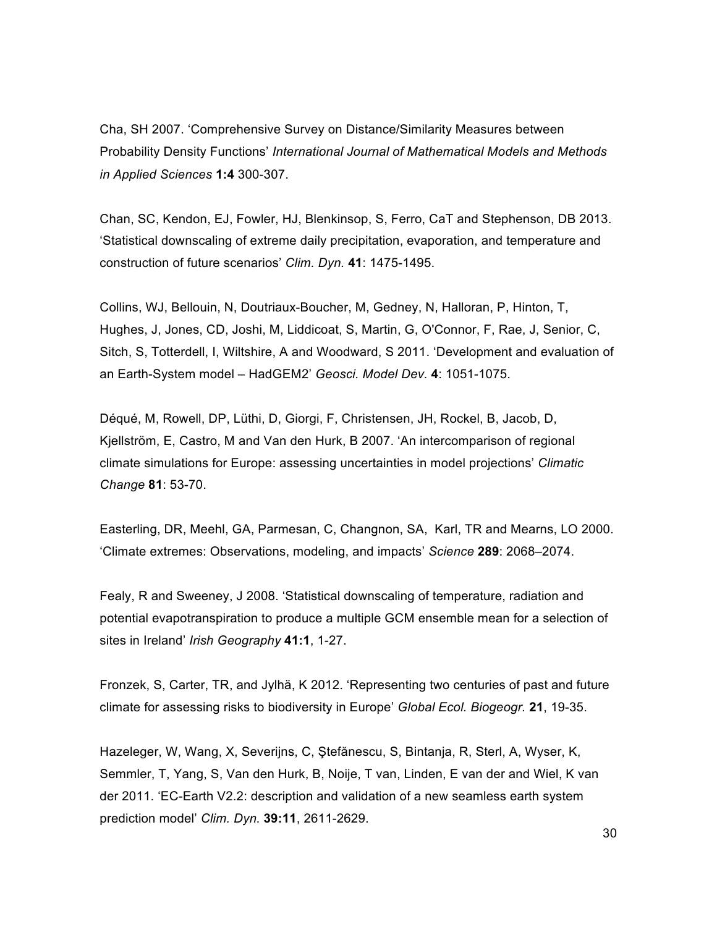Cha, SH 2007. 'Comprehensive Survey on Distance/Similarity Measures between Probability Density Functions' *International Journal of Mathematical Models and Methods in Applied Sciences* **1:4** 300-307.

Chan, SC, Kendon, EJ, Fowler, HJ, Blenkinsop, S, Ferro, CaT and Stephenson, DB 2013. 'Statistical downscaling of extreme daily precipitation, evaporation, and temperature and construction of future scenarios' *Clim. Dyn.* **41**: 1475-1495.

Collins, WJ, Bellouin, N, Doutriaux-Boucher, M, Gedney, N, Halloran, P, Hinton, T, Hughes, J, Jones, CD, Joshi, M, Liddicoat, S, Martin, G, O'Connor, F, Rae, J, Senior, C, Sitch, S, Totterdell, I, Wiltshire, A and Woodward, S 2011. 'Development and evaluation of an Earth-System model – HadGEM2' *Geosci. Model Dev.* **4**: 1051-1075.

Déqué, M, Rowell, DP, Lüthi, D, Giorgi, F, Christensen, JH, Rockel, B, Jacob, D, Kjellström, E, Castro, M and Van den Hurk, B 2007. 'An intercomparison of regional climate simulations for Europe: assessing uncertainties in model projections' *Climatic Change* **81**: 53-70.

Easterling, DR, Meehl, GA, Parmesan, C, Changnon, SA, Karl, TR and Mearns, LO 2000. 'Climate extremes: Observations, modeling, and impacts' *Science* **289**: 2068–2074.

Fealy, R and Sweeney, J 2008. 'Statistical downscaling of temperature, radiation and potential evapotranspiration to produce a multiple GCM ensemble mean for a selection of sites in Ireland' *Irish Geography* **41:1**, 1-27.

Fronzek, S, Carter, TR, and Jylhä, K 2012. 'Representing two centuries of past and future climate for assessing risks to biodiversity in Europe' *Global Ecol. Biogeogr.* **21**, 19-35.

Hazeleger, W, Wang, X, Severijns, C, Ştefănescu, S, Bintanja, R, Sterl, A, Wyser, K, Semmler, T, Yang, S, Van den Hurk, B, Noije, T van, Linden, E van der and Wiel, K van der 2011. 'EC-Earth V2.2: description and validation of a new seamless earth system prediction model' *Clim. Dyn.* **39:11**, 2611-2629.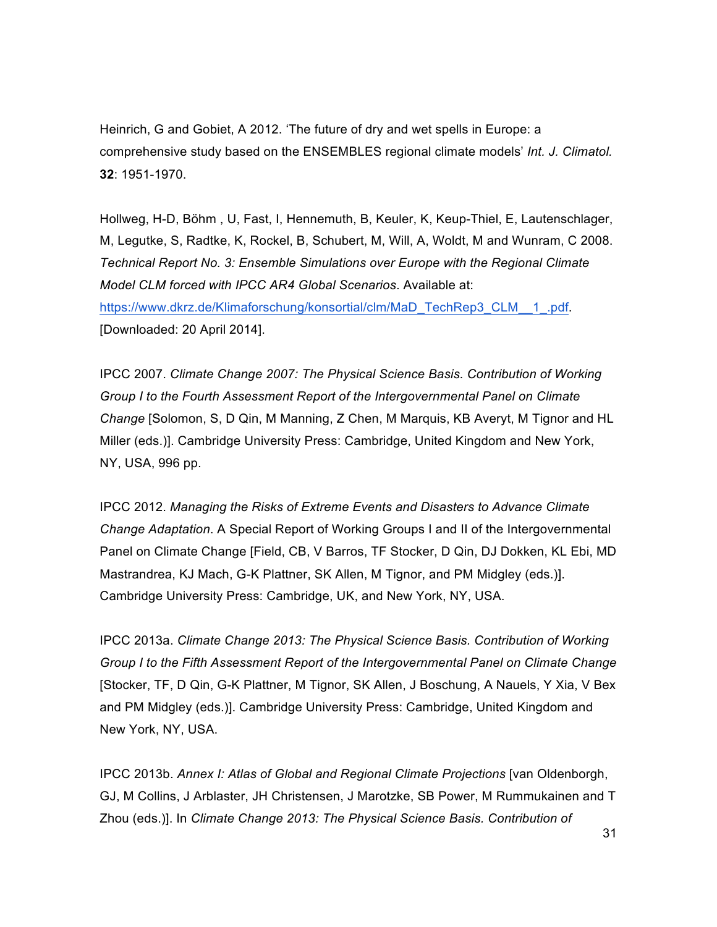Heinrich, G and Gobiet, A 2012. 'The future of dry and wet spells in Europe: a comprehensive study based on the ENSEMBLES regional climate models' *Int. J. Climatol.* **32**: 1951-1970.

Hollweg, H-D, Böhm , U, Fast, I, Hennemuth, B, Keuler, K, Keup-Thiel, E, Lautenschlager, M, Legutke, S, Radtke, K, Rockel, B, Schubert, M, Will, A, Woldt, M and Wunram, C 2008. *Technical Report No. 3: Ensemble Simulations over Europe with the Regional Climate Model CLM forced with IPCC AR4 Global Scenarios*. Available at: https://www.dkrz.de/Klimaforschung/konsortial/clm/MaD\_TechRep3\_CLM\_\_1\_.pdf. [Downloaded: 20 April 2014].

IPCC 2007. *Climate Change 2007: The Physical Science Basis. Contribution of Working Group I to the Fourth Assessment Report of the Intergovernmental Panel on Climate Change* [Solomon, S, D Qin, M Manning, Z Chen, M Marquis, KB Averyt, M Tignor and HL Miller (eds.)]. Cambridge University Press: Cambridge, United Kingdom and New York, NY, USA, 996 pp.

IPCC 2012. *Managing the Risks of Extreme Events and Disasters to Advance Climate Change Adaptation*. A Special Report of Working Groups I and II of the Intergovernmental Panel on Climate Change [Field, CB, V Barros, TF Stocker, D Qin, DJ Dokken, KL Ebi, MD Mastrandrea, KJ Mach, G-K Plattner, SK Allen, M Tignor, and PM Midgley (eds.)]. Cambridge University Press: Cambridge, UK, and New York, NY, USA.

IPCC 2013a. *Climate Change 2013: The Physical Science Basis. Contribution of Working Group I to the Fifth Assessment Report of the Intergovernmental Panel on Climate Change*  [Stocker, TF, D Qin, G-K Plattner, M Tignor, SK Allen, J Boschung, A Nauels, Y Xia, V Bex and PM Midgley (eds.)]. Cambridge University Press: Cambridge, United Kingdom and New York, NY, USA.

IPCC 2013b. *Annex I: Atlas of Global and Regional Climate Projections* [van Oldenborgh, GJ, M Collins, J Arblaster, JH Christensen, J Marotzke, SB Power, M Rummukainen and T Zhou (eds.)]. In *Climate Change 2013: The Physical Science Basis. Contribution of*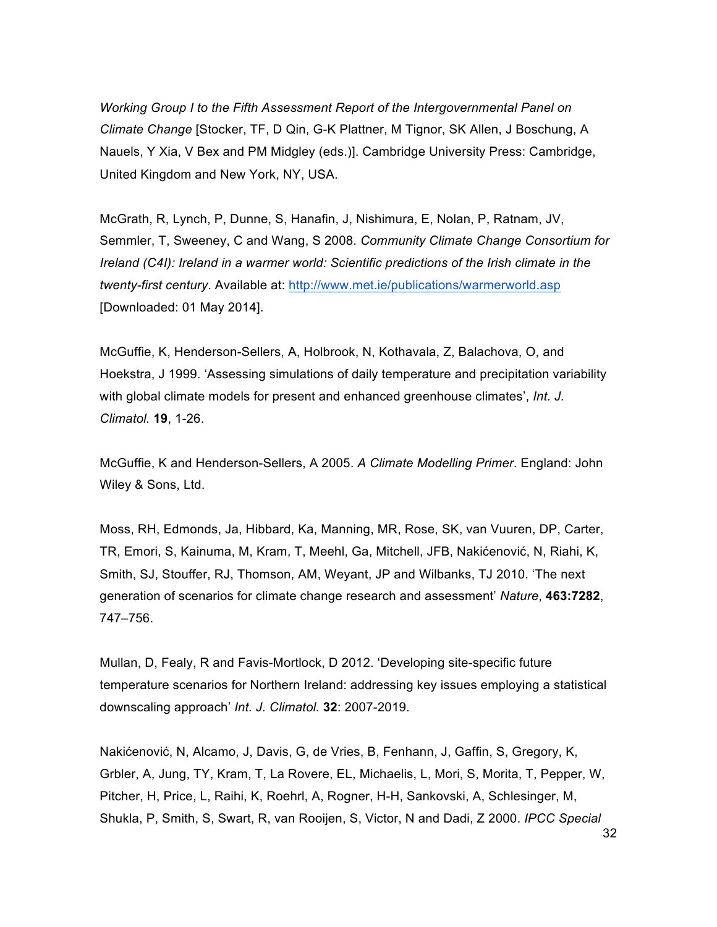*Working Group I to the Fifth Assessment Report of the Intergovernmental Panel on Climate Change* [Stocker, TF, D Qin, G-K Plattner, M Tignor, SK Allen, J Boschung, A Nauels, Y Xia, V Bex and PM Midgley (eds.)]. Cambridge University Press: Cambridge, United Kingdom and New York, NY, USA.

McGrath, R, Lynch, P, Dunne, S, Hanafin, J, Nishimura, E, Nolan, P, Ratnam, JV, Semmler, T, Sweeney, C and Wang, S 2008. *Community Climate Change Consortium for Ireland (C4I): Ireland in a warmer world: Scientific predictions of the Irish climate in the twenty-first century*. Available at: http://www.met.ie/publications/warmerworld.asp [Downloaded: 01 May 2014].

McGuffie, K, Henderson-Sellers, A, Holbrook, N, Kothavala, Z, Balachova, O, and Hoekstra, J 1999. 'Assessing simulations of daily temperature and precipitation variability with global climate models for present and enhanced greenhouse climates', *Int. J. Climatol.* **19**, 1-26.

McGuffie, K and Henderson-Sellers, A 2005. *A Climate Modelling Primer*. England: John Wiley & Sons, Ltd.

Moss, RH, Edmonds, Ja, Hibbard, Ka, Manning, MR, Rose, SK, van Vuuren, DP, Carter, TR, Emori, S, Kainuma, M, Kram, T, Meehl, Ga, Mitchell, JFB, Nakićenović, N, Riahi, K, Smith, SJ, Stouffer, RJ, Thomson, AM, Weyant, JP and Wilbanks, TJ 2010. 'The next generation of scenarios for climate change research and assessment' *Nature*, **463:7282**, 747–756.

Mullan, D, Fealy, R and Favis-Mortlock, D 2012. 'Developing site-specific future temperature scenarios for Northern Ireland: addressing key issues employing a statistical downscaling approach' *Int. J. Climatol.* **32**: 2007-2019.

Nakićenović, N, Alcamo, J, Davis, G, de Vries, B, Fenhann, J, Gaffin, S, Gregory, K, Grbler, A, Jung, TY, Kram, T, La Rovere, EL, Michaelis, L, Mori, S, Morita, T, Pepper, W, Pitcher, H, Price, L, Raihi, K, Roehrl, A, Rogner, H-H, Sankovski, A, Schlesinger, M, Shukla, P, Smith, S, Swart, R, van Rooijen, S, Victor, N and Dadi, Z 2000. *IPCC Special*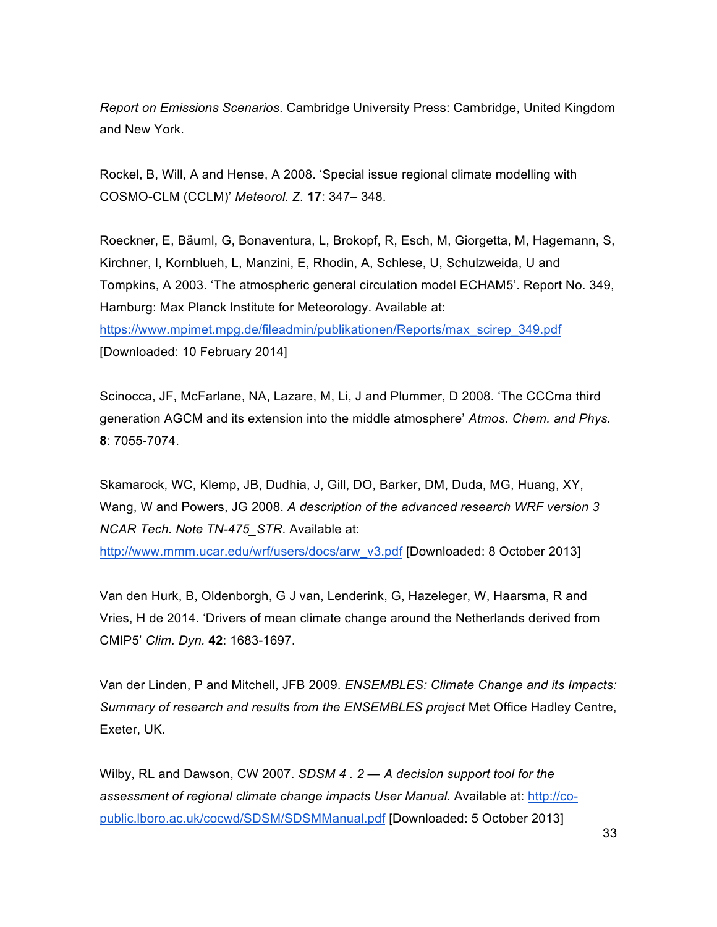*Report on Emissions Scenarios*. Cambridge University Press: Cambridge, United Kingdom and New York.

Rockel, B, Will, A and Hense, A 2008. 'Special issue regional climate modelling with COSMO-CLM (CCLM)' *Meteorol. Z.* **17**: 347– 348.

Roeckner, E, Bäuml, G, Bonaventura, L, Brokopf, R, Esch, M, Giorgetta, M, Hagemann, S, Kirchner, I, Kornblueh, L, Manzini, E, Rhodin, A, Schlese, U, Schulzweida, U and Tompkins, A 2003. 'The atmospheric general circulation model ECHAM5'. Report No. 349, Hamburg: Max Planck Institute for Meteorology. Available at:

https://www.mpimet.mpg.de/fileadmin/publikationen/Reports/max\_scirep\_349.pdf [Downloaded: 10 February 2014]

Scinocca, JF, McFarlane, NA, Lazare, M, Li, J and Plummer, D 2008. 'The CCCma third generation AGCM and its extension into the middle atmosphere' *Atmos. Chem. and Phys.* **8**: 7055-7074.

Skamarock, WC, Klemp, JB, Dudhia, J, Gill, DO, Barker, DM, Duda, MG, Huang, XY, Wang, W and Powers, JG 2008. *A description of the advanced research WRF version 3 NCAR Tech. Note TN-475\_STR*. Available at:

http://www.mmm.ucar.edu/wrf/users/docs/arw\_v3.pdf [Downloaded: 8 October 2013]

Van den Hurk, B, Oldenborgh, G J van, Lenderink, G, Hazeleger, W, Haarsma, R and Vries, H de 2014. 'Drivers of mean climate change around the Netherlands derived from CMIP5' *Clim. Dyn.* **42**: 1683-1697.

Van der Linden, P and Mitchell, JFB 2009. *ENSEMBLES: Climate Change and its Impacts: Summary of research and results from the ENSEMBLES project* Met Office Hadley Centre, Exeter, UK.

Wilby, RL and Dawson, CW 2007. *SDSM 4 . 2 — A decision support tool for the assessment of regional climate change impacts User Manual.* Available at: http://copublic.lboro.ac.uk/cocwd/SDSM/SDSMManual.pdf [Downloaded: 5 October 2013]